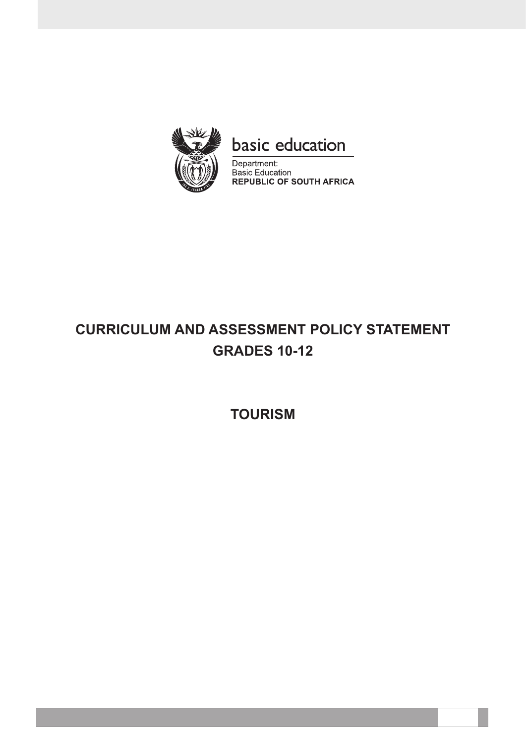

# basic education

Department: Basic Education **REPUBLIC OF SOUTH AFRICA** 

# **Curriculum and Assessment Policy Statement Grades 10-12**

**TOURISM**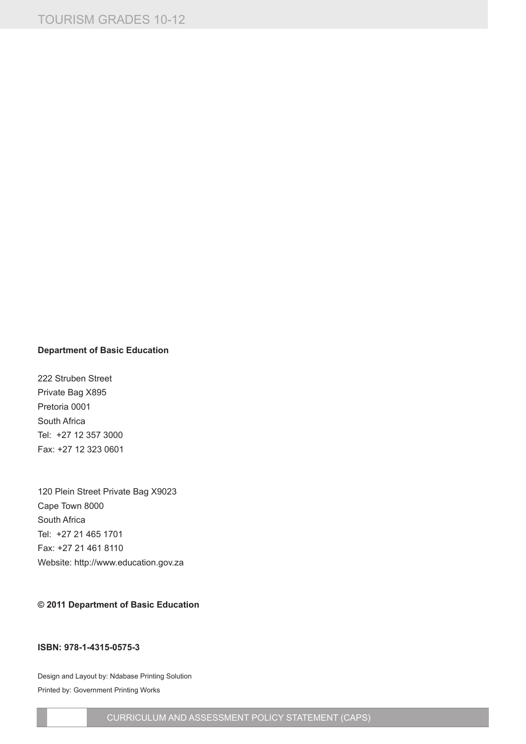#### **Department of Basic Education**

222 Struben Street Private Bag X895 Pretoria 0001 South Africa Tel: +27 12 357 3000 Fax: +27 12 323 0601

120 Plein Street Private Bag X9023 Cape Town 8000 South Africa Tel: +27 21 465 1701 Fax: +27 21 461 8110 Website: http://www.education.gov.za

### **© 2011 Department of Basic Education**

#### **Isbn: 978-1-4315-0575-3**

Design and Layout by: Ndabase Printing Solution Printed by: Government Printing Works

CURRICULUM AND ASSESSMENT POLICY STATEMENT (CAPS)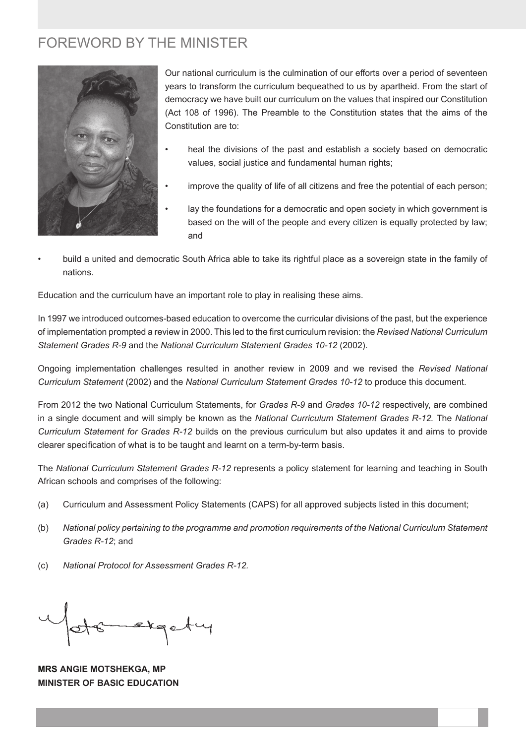# FOREWORD by thE ministER



Our national curriculum is the culmination of our efforts over a period of seventeen years to transform the curriculum bequeathed to us by apartheid. From the start of democracy we have built our curriculum on the values that inspired our Constitution (Act 108 of 1996). The Preamble to the Constitution states that the aims of the Constitution are to:

- heal the divisions of the past and establish a society based on democratic values, social justice and fundamental human rights;
- improve the quality of life of all citizens and free the potential of each person;
- lay the foundations for a democratic and open society in which government is based on the will of the people and every citizen is equally protected by law; and
- build a united and democratic South Africa able to take its rightful place as a sovereign state in the family of nations.

Education and the curriculum have an important role to play in realising these aims.

in 1997 we introduced outcomes-based education to overcome the curricular divisions of the past, but the experience of implementation prompted a review in 2000. This led to the first curriculum revision: the *Revised National Curriculum Statement Grades R-9* and the *National Curriculum Statement Grades 10-12* (2002).

Ongoing implementation challenges resulted in another review in 2009 and we revised the *Revised National Curriculum Statement* (2002) and the *National Curriculum Statement Grades 10-12* to produce this document.

From 2012 the two national Curriculum statements, for *Grades R-9* and *Grades 10-12* respectively, are combined in a single document and will simply be known as the *National Curriculum Statement Grades R-12.* the *National Curriculum Statement for Grades R-12* builds on the previous curriculum but also updates it and aims to provide clearer specification of what is to be taught and learnt on a term-by-term basis.

the *National Curriculum Statement Grades R-12* represents a policy statement for learning and teaching in south African schools and comprises of the following:

- (a) Curriculum and Assessment Policy statements (CAPs) for all approved subjects listed in this document;
- (b) *National policy pertaining to the programme and promotion requirements of the National Curriculum Statement Grades R-12*; and
- (c) *National Protocol for Assessment Grades R-12.*

skgety

**MRS ANGIE MOTSHEKGA, MP MINISTER OF BASIC EDUCATION** 

<u>CAPS</u>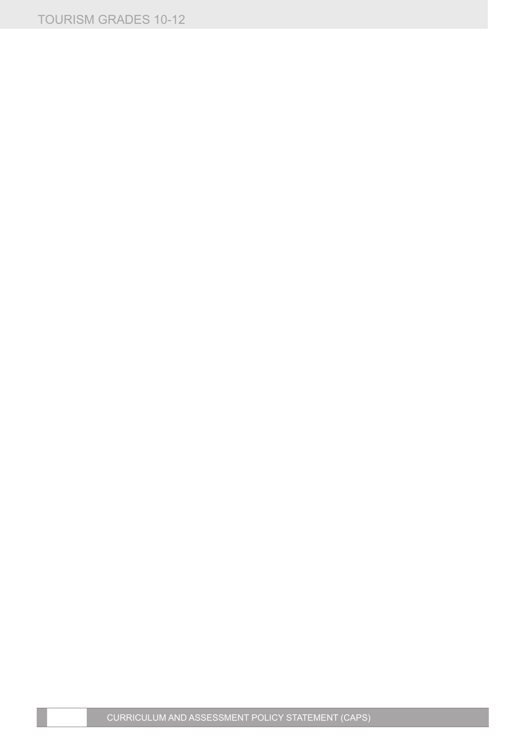CURRICULUM AND ASSESSMENT POLICY STATEMENT (CAPS)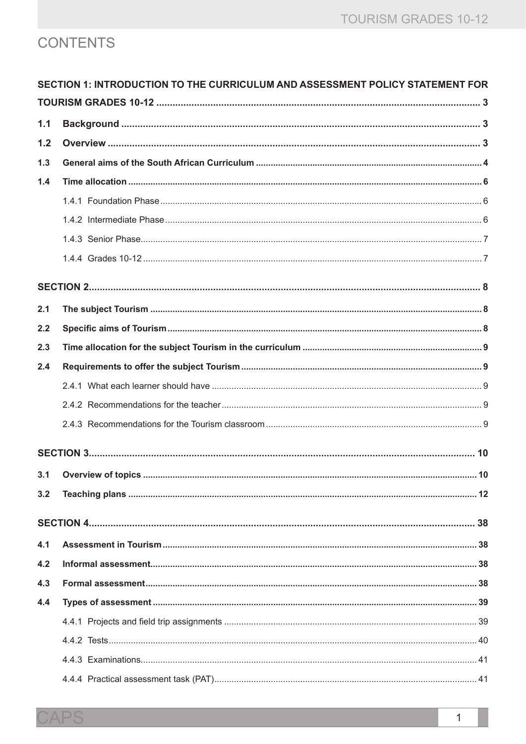# **CONTENTS**

|     | SECTION 1: INTRODUCTION TO THE CURRICULUM AND ASSESSMENT POLICY STATEMENT FOR |  |  |
|-----|-------------------------------------------------------------------------------|--|--|
|     |                                                                               |  |  |
| 1.1 |                                                                               |  |  |
| 1.2 |                                                                               |  |  |
| 1.3 |                                                                               |  |  |
| 1.4 |                                                                               |  |  |
|     |                                                                               |  |  |
|     |                                                                               |  |  |
|     |                                                                               |  |  |
|     |                                                                               |  |  |
|     |                                                                               |  |  |
| 2.1 |                                                                               |  |  |
| 2.2 |                                                                               |  |  |
| 2.3 |                                                                               |  |  |
| 2.4 |                                                                               |  |  |
|     |                                                                               |  |  |
|     |                                                                               |  |  |
|     |                                                                               |  |  |
|     |                                                                               |  |  |
|     |                                                                               |  |  |
|     |                                                                               |  |  |
| 3.2 |                                                                               |  |  |
|     |                                                                               |  |  |
| 4.1 |                                                                               |  |  |
| 4.2 |                                                                               |  |  |
| 4.3 |                                                                               |  |  |
| 4.4 |                                                                               |  |  |
|     |                                                                               |  |  |
|     |                                                                               |  |  |
|     |                                                                               |  |  |
|     |                                                                               |  |  |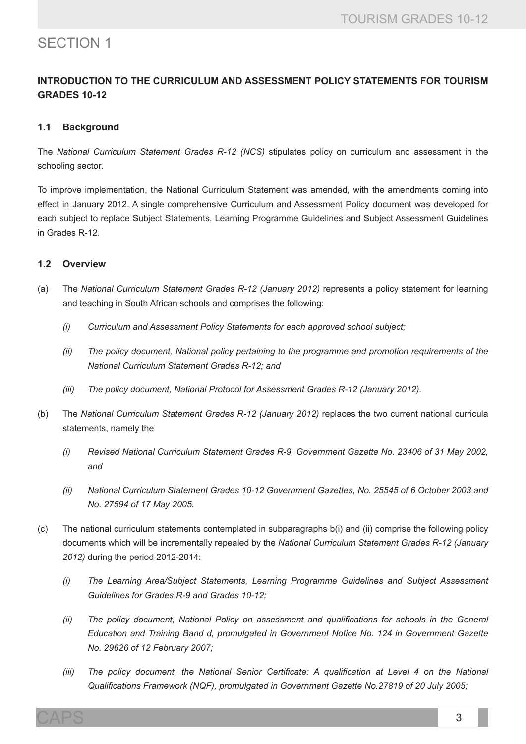# sECTION 1

### **INTRODUCTION TO THE Curriculum and Assessment Policy StatementS for TOURISM gradeS 10-12**

### **1.1 Background**

The *National Curriculum Statement Grades R-12 (NCS)* stipulates policy on curriculum and assessment in the schooling sector.

To improve implementation, the National Curriculum Statement was amended, with the amendments coming into effect in January 2012. A single comprehensive Curriculum and Assessment Policy document was developed for each subject to replace Subject Statements, Learning Programme Guidelines and Subject Assessment Guidelines in Grades R-12.

### **1.2 Overview**

- (a) The *National Curriculum Statement Grades R-12 (January 2012)* represents a policy statement for learning and teaching in South African schools and comprises the following:
	- *(i) Curriculum and Assessment Policy Statements for each approved school subject;*
	- *(ii) The policy document, National policy pertaining to the programme and promotion requirements of the National Curriculum Statement Grades R-12; and*
	- *(iii) The policy document, National Protocol for Assessment Grades R-12 (January 2012).*
- (b) The *National Curriculum Statement Grades R-12 (January 2012)* replaces the two current national curricula statements, namely the
	- *(i) Revised National Curriculum Statement Grades R-9, Government Gazette No. 23406 of 31 May 2002, and*
	- *(ii) National Curriculum Statement Grades 10-12 Government Gazettes, No. 25545 of 6 October 2003 and No. 27594 of 17 May 2005.*
- (c) The national curriculum statements contemplated in subparagraphs b(i) and (ii) comprise the following policy documents which will be incrementally repealed by the *National Curriculum Statement Grades R-12 (January 2012)* during the period 2012-2014:
	- *(i) The Learning Area/Subject Statements, Learning Programme Guidelines and Subject Assessment Guidelines for Grades R-9 and Grades 10-12;*
	- *(ii) The policy document, National Policy on assessment and qualifications for schools in the General Education and Training Band d, promulgated in Government Notice No. 124 in Government Gazette No. 29626 of 12 February 2007;*
	- *(iii) The policy document, the National Senior Certificate: A qualification at Level 4 on the National Qualifications Framework (NQF), promulgated in Government Gazette No.27819 of 20 July 2005;*

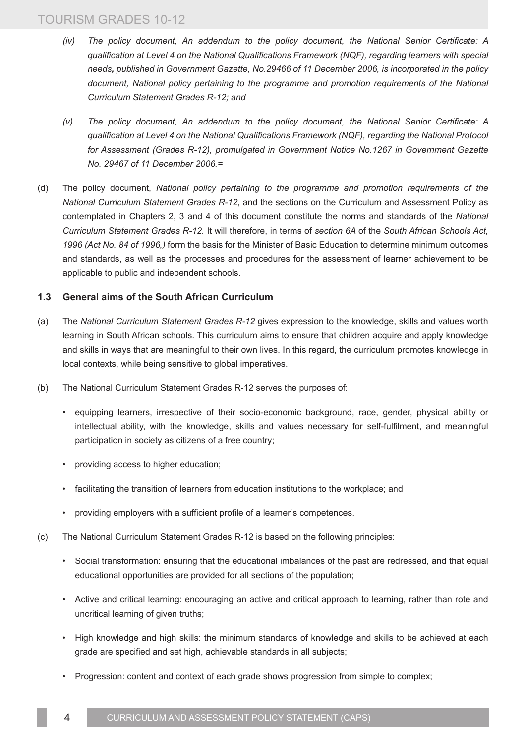- *(iv) The policy document, An addendum to the policy document, the National Senior Certificate: A qualification at Level 4 on the National Qualifications Framework (NQF), regarding learners with special needs, published in Government Gazette, No.29466 of 11 December 2006, is incorporated in the policy*  document. National policy pertaining to the programme and promotion requirements of the National *Curriculum Statement Grades R-12; and*
- *(v) The policy document, An addendum to the policy document, the National Senior Certificate: A qualification at Level 4 on the National Qualifications Framework (NQF), regarding the National Protocol for Assessment (Grades R-12), promulgated in Government Notice No.1267 in Government Gazette No. 29467 of 11 December 2006.=*
- (d) The policy document, *National policy pertaining to the programme and promotion requirements of the National Curriculum Statement Grades R-12*, and the sections on the Curriculum and Assessment Policy as contemplated in Chapters 2, 3 and 4 of this document constitute the norms and standards of the *National Curriculum Statement Grades R-12.* It will therefore, in terms of *section 6A* of the *South African Schools Act, 1996 (Act No. 84 of 1996,)* form the basis for the Minister of Basic Education to determine minimum outcomes and standards, as well as the processes and procedures for the assessment of learner achievement to be applicable to public and independent schools.

### **1.3 General aims of the South African Curriculum**

- (a) The *National Curriculum Statement Grades R-12* gives expression to the knowledge, skills and values worth learning in South African schools. This curriculum aims to ensure that children acquire and apply knowledge and skills in ways that are meaningful to their own lives. In this regard, the curriculum promotes knowledge in local contexts, while being sensitive to global imperatives.
- (b) The National Curriculum Statement Grades R-12 serves the purposes of:
	- • equipping learners, irrespective of their socio-economic background, race, gender, physical ability or intellectual ability, with the knowledge, skills and values necessary for self-fulfilment, and meaningful participation in society as citizens of a free country;
	- • providing access to higher education;
	- facilitating the transition of learners from education institutions to the workplace; and
	- providing employers with a sufficient profile of a learner's competences.
- (c) The National Curriculum Statement Grades R-12 is based on the following principles:
	- • Social transformation: ensuring that the educational imbalances of the past are redressed, and that equal educational opportunities are provided for all sections of the population;
	- • Active and critical learning: encouraging an active and critical approach to learning, rather than rote and uncritical learning of given truths;
	- • High knowledge and high skills: the minimum standards of knowledge and skills to be achieved at each grade are specified and set high, achievable standards in all subjects;
	- Progression: content and context of each grade shows progression from simple to complex;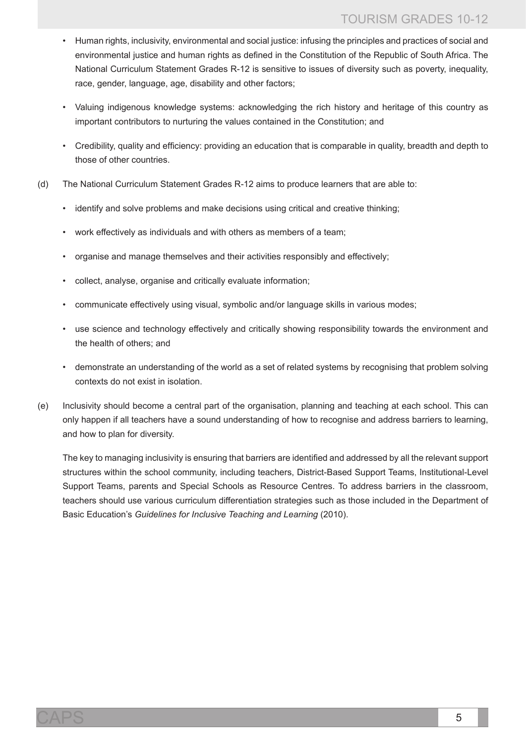- Human rights, inclusivity, environmental and social justice: infusing the principles and practices of social and environmental justice and human rights as defined in the Constitution of the Republic of South Africa. The National Curriculum Statement Grades R-12 is sensitive to issues of diversity such as poverty, inequality, race, gender, language, age, disability and other factors;
- • Valuing indigenous knowledge systems: acknowledging the rich history and heritage of this country as important contributors to nurturing the values contained in the Constitution; and
- • Credibility, quality and efficiency: providing an education that is comparable in quality, breadth and depth to those of other countries.
- (d) The National Curriculum Statement Grades R-12 aims to produce learners that are able to:
	- identify and solve problems and make decisions using critical and creative thinking;
	- work effectively as individuals and with others as members of a team;
	- organise and manage themselves and their activities responsibly and effectively;
	- collect, analyse, organise and critically evaluate information;
	- communicate effectively using visual, symbolic and/or language skills in various modes;
	- use science and technology effectively and critically showing responsibility towards the environment and the health of others; and
	- • demonstrate an understanding of the world as a set of related systems by recognising that problem solving contexts do not exist in isolation.
- (e) Inclusivity should become a central part of the organisation, planning and teaching at each school. This can only happen if all teachers have a sound understanding of how to recognise and address barriers to learning, and how to plan for diversity.

 The key to managing inclusivity is ensuring that barriers are identified and addressed by all the relevant support structures within the school community, including teachers, District-Based Support Teams, Institutional-Level Support Teams, parents and Special Schools as Resource Centres. To address barriers in the classroom, teachers should use various curriculum differentiation strategies such as those included in the Department of Basic Education's *Guidelines for Inclusive Teaching and Learning* (2010).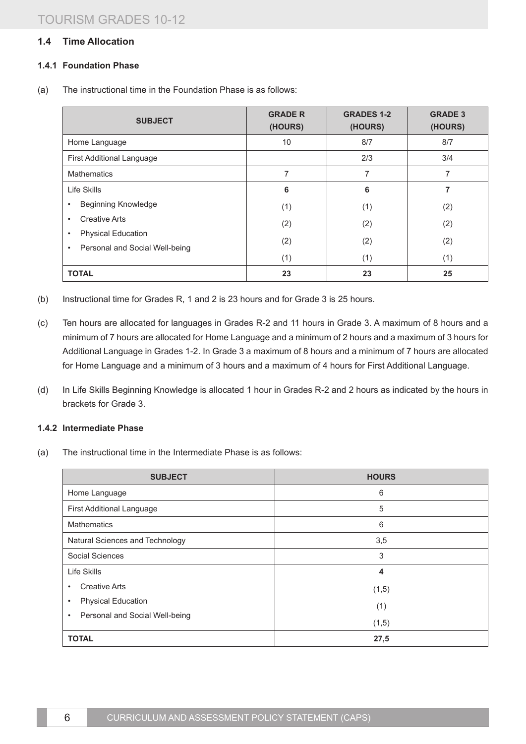### **1.4 Time Allocation**

### **1.4.1 Foundation Phase**

(a) The instructional time in the Foundation Phase is as follows:

| <b>SUBJECT</b>                      | <b>GRADE R</b><br>(HOURS) | <b>GRADES 1-2</b><br>(HOURS) | <b>GRADE 3</b><br>(HOURS) |
|-------------------------------------|---------------------------|------------------------------|---------------------------|
| Home Language                       | 10                        | 8/7                          | 8/7                       |
| <b>First Additional Language</b>    |                           | 2/3                          | 3/4                       |
| <b>Mathematics</b>                  | 7                         | 7                            | 7                         |
| Life Skills                         | 6                         | 6                            | 7                         |
| <b>Beginning Knowledge</b><br>٠     | (1)                       | (1)                          | (2)                       |
| <b>Creative Arts</b><br>٠           | (2)                       | (2)                          | (2)                       |
| <b>Physical Education</b><br>٠<br>٠ | (2)                       | (2)                          | (2)                       |
| Personal and Social Well-being      | (1)                       | (1)                          | (1)                       |
| <b>TOTAL</b>                        | 23                        | 23                           | 25                        |

- (b) Instructional time for Grades R, 1 and 2 is 23 hours and for Grade 3 is 25 hours.
- (c) Ten hours are allocated for languages in Grades R-2 and 11 hours in Grade 3. A maximum of 8 hours and a minimum of 7 hours are allocated for Home Language and a minimum of 2 hours and a maximum of 3 hours for Additional Language in Grades 1-2. In Grade 3 a maximum of 8 hours and a minimum of 7 hours are allocated for Home Language and a minimum of 3 hours and a maximum of 4 hours for First Additional Language.
- (d) In Life Skills Beginning Knowledge is allocated 1 hour in Grades R-2 and 2 hours as indicated by the hours in brackets for Grade 3.

### **1.4.2 Intermediate Phase**

(a) The instructional time in the Intermediate Phase is as follows:

| <b>SUBJECT</b>                      | <b>HOURS</b> |  |
|-------------------------------------|--------------|--|
| Home Language                       | 6            |  |
| <b>First Additional Language</b>    | 5            |  |
| <b>Mathematics</b>                  | 6            |  |
| Natural Sciences and Technology     | 3,5          |  |
| Social Sciences                     | 3            |  |
| Life Skills                         | 4            |  |
| <b>Creative Arts</b><br>٠           | (1,5)        |  |
| <b>Physical Education</b><br>٠      | (1)          |  |
| Personal and Social Well-being<br>٠ | (1,5)        |  |
| <b>TOTAL</b>                        | 27,5         |  |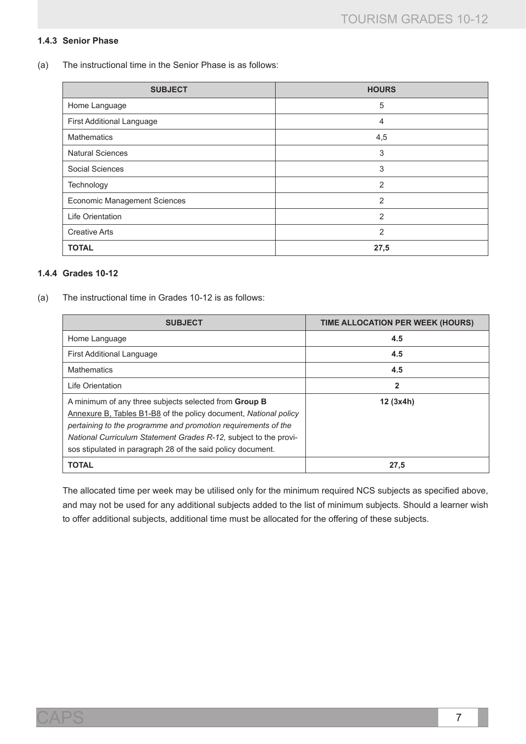#### **1.4.3 Senior Phase**

(a) The instructional time in the Senior Phase is as follows:

| <b>SUBJECT</b>                      | <b>HOURS</b> |
|-------------------------------------|--------------|
| Home Language                       | 5            |
| <b>First Additional Language</b>    | 4            |
| <b>Mathematics</b>                  | 4,5          |
| <b>Natural Sciences</b>             | 3            |
| Social Sciences                     | 3            |
| Technology                          | 2            |
| <b>Economic Management Sciences</b> | 2            |
| Life Orientation                    | 2            |
| <b>Creative Arts</b>                | 2            |
| <b>TOTAL</b>                        | 27,5         |

#### **1.4.4 Grades 10-12**

(a) The instructional time in Grades 10-12 is as follows:

| <b>SUBJECT</b>                                                                                                                                                                                                                                                                                                                | TIME ALLOCATION PER WEEK (HOURS) |
|-------------------------------------------------------------------------------------------------------------------------------------------------------------------------------------------------------------------------------------------------------------------------------------------------------------------------------|----------------------------------|
| Home Language                                                                                                                                                                                                                                                                                                                 | 4.5                              |
| <b>First Additional Language</b>                                                                                                                                                                                                                                                                                              | 4.5                              |
| <b>Mathematics</b>                                                                                                                                                                                                                                                                                                            | 4.5                              |
| Life Orientation                                                                                                                                                                                                                                                                                                              | $\overline{2}$                   |
| A minimum of any three subjects selected from Group B<br>Annexure B, Tables B1-B8 of the policy document, National policy<br>pertaining to the programme and promotion requirements of the<br>National Curriculum Statement Grades R-12, subject to the provi-<br>sos stipulated in paragraph 28 of the said policy document. | 12(3x4h)                         |
| <b>TOTAL</b>                                                                                                                                                                                                                                                                                                                  | 27,5                             |

 The allocated time per week may be utilised only for the minimum required NCS subjects as specified above, and may not be used for any additional subjects added to the list of minimum subjects. Should a learner wish to offer additional subjects, additional time must be allocated for the offering of these subjects.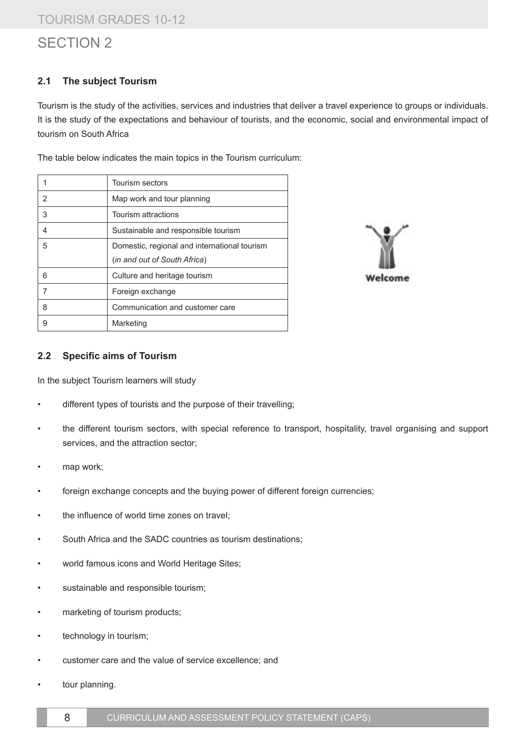### **2.1 The subject Tourism**

Tourism is the study of the activities, services and industries that deliver a travel experience to groups or individuals. It is the study of the expectations and behaviour of tourists, and the economic, social and environmental impact of tourism on South Africa

The table below indicates the main topics in the Tourism curriculum:

|                | Tourism sectors                              |
|----------------|----------------------------------------------|
| $\overline{2}$ | Map work and tour planning                   |
| 3              | Tourism attractions                          |
| 4              | Sustainable and responsible tourism          |
| 5              | Domestic, regional and international tourism |
|                | (in and out of South Africa)                 |
| 6              | Culture and heritage tourism                 |
| 7              | Foreign exchange                             |
| 8              | Communication and customer care              |
| 9              | Marketing                                    |



### **2.2 Specific aims of Tourism**

In the subject Tourism learners will study

- different types of tourists and the purpose of their travelling;
- the different tourism sectors, with special reference to transport, hospitality, travel organising and support services, and the attraction sector;
- map work;
- foreign exchange concepts and the buying power of different foreign currencies;
- the influence of world time zones on travel;
- South Africa and the SADC countries as tourism destinations;
- world famous icons and World Heritage Sites;
- sustainable and responsible tourism;
- marketing of tourism products;
- technology in tourism;
- customer care and the value of service excellence; and
- tour planning.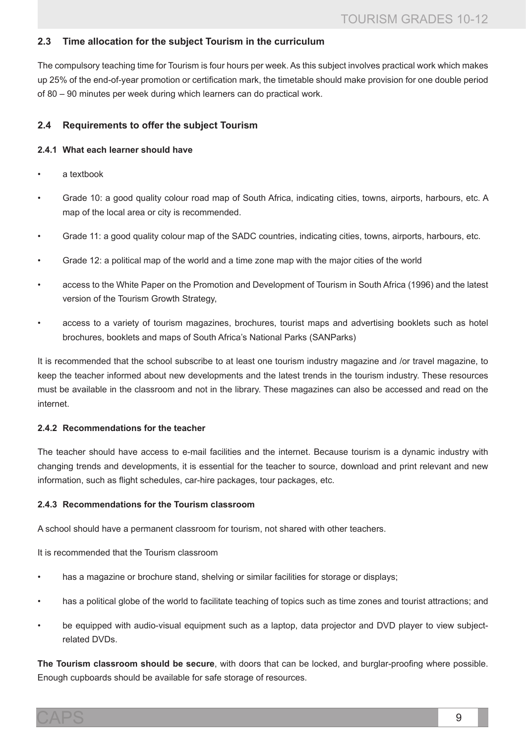### **2.3 Time allocation for the subject Tourism in the curriculum**

The compulsory teaching time for Tourism is four hours per week. As this subject involves practical work which makes up 25% of the end-of-year promotion or certification mark, the timetable should make provision for one double period of 80 – 90 minutes per week during which learners can do practical work.

### **2.4 Requirements to offer the subject Tourism**

#### **2.4.1 What each learner should have**

- a textbook
- Grade 10: a good quality colour road map of South Africa, indicating cities, towns, airports, harbours, etc. A map of the local area or city is recommended.
- Grade 11: a good quality colour map of the SADC countries, indicating cities, towns, airports, harbours, etc.
- Grade 12: a political map of the world and a time zone map with the major cities of the world
- access to the White Paper on the Promotion and Development of Tourism in South Africa (1996) and the latest version of the Tourism Growth Strategy,
- access to a variety of tourism magazines, brochures, tourist maps and advertising booklets such as hotel brochures, booklets and maps of South Africa's National Parks (SANParks)

It is recommended that the school subscribe to at least one tourism industry magazine and /or travel magazine, to keep the teacher informed about new developments and the latest trends in the tourism industry. These resources must be available in the classroom and not in the library. These magazines can also be accessed and read on the internet.

#### **2.4.2 Recommendations for the teacher**

The teacher should have access to e-mail facilities and the internet. Because tourism is a dynamic industry with changing trends and developments, it is essential for the teacher to source, download and print relevant and new information, such as flight schedules, car-hire packages, tour packages, etc.

#### **2.4.3 Recommendations for the Tourism classroom**

A school should have a permanent classroom for tourism, not shared with other teachers.

It is recommended that the Tourism classroom

- has a magazine or brochure stand, shelving or similar facilities for storage or displays;
- has a political globe of the world to facilitate teaching of topics such as time zones and tourist attractions; and
- be equipped with audio-visual equipment such as a laptop, data projector and DVD player to view subjectrelated DVDs.

**The Tourism classroom should be secure**, with doors that can be locked, and burglar-proofing where possible. Enough cupboards should be available for safe storage of resources.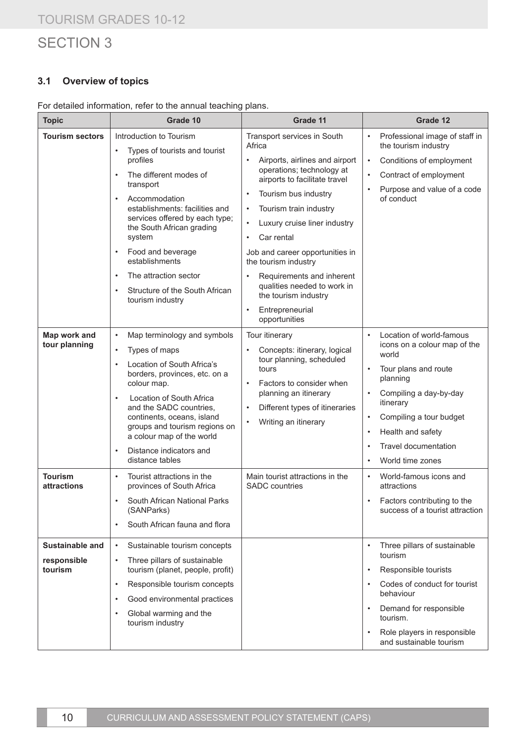# SECTION 3

### **3.1 Overview of topics**

| <b>Topic</b>                              | Grade 10                                                                                                                                                                                                                                                                                                                                                                                             | Grade 11                                                                                                                                                                                                                                                                                                                                                                                                                                                | Grade 12                                                                                                                                                                                                                                                                               |
|-------------------------------------------|------------------------------------------------------------------------------------------------------------------------------------------------------------------------------------------------------------------------------------------------------------------------------------------------------------------------------------------------------------------------------------------------------|---------------------------------------------------------------------------------------------------------------------------------------------------------------------------------------------------------------------------------------------------------------------------------------------------------------------------------------------------------------------------------------------------------------------------------------------------------|----------------------------------------------------------------------------------------------------------------------------------------------------------------------------------------------------------------------------------------------------------------------------------------|
| <b>Tourism sectors</b>                    | Introduction to Tourism<br>Types of tourists and tourist<br>profiles<br>The different modes of<br>$\bullet$<br>transport<br>Accommodation<br>establishments: facilities and<br>services offered by each type;<br>the South African grading<br>system<br>Food and beverage<br>$\bullet$<br>establishments<br>The attraction sector<br>$\bullet$<br>Structure of the South African<br>tourism industry | Transport services in South<br>Africa<br>Airports, airlines and airport<br>operations; technology at<br>airports to facilitate travel<br>Tourism bus industry<br>Tourism train industry<br>٠<br>Luxury cruise liner industry<br>$\bullet$<br>Car rental<br>Job and career opportunities in<br>the tourism industry<br>Requirements and inherent<br>$\bullet$<br>qualities needed to work in<br>the tourism industry<br>Entrepreneurial<br>opportunities | Professional image of staff in<br>$\bullet$<br>the tourism industry<br>Conditions of employment<br>$\bullet$<br>Contract of employment<br>$\bullet$<br>Purpose and value of a code<br>of conduct                                                                                       |
| Map work and<br>tour planning             | Map terminology and symbols<br>$\bullet$<br>Types of maps<br>$\bullet$<br>Location of South Africa's<br>borders, provinces, etc. on a<br>colour map.<br>Location of South Africa<br>and the SADC countries,<br>continents, oceans, island<br>groups and tourism regions on<br>a colour map of the world<br>Distance indicators and<br>distance tables                                                | Tour itinerary<br>Concepts: itinerary, logical<br>$\bullet$<br>tour planning, scheduled<br>tours<br>Factors to consider when<br>planning an itinerary<br>Different types of itineraries<br>$\bullet$<br>Writing an itinerary                                                                                                                                                                                                                            | Location of world-famous<br>icons on a colour map of the<br>world<br>Tour plans and route<br>planning<br>Compiling a day-by-day<br>$\bullet$<br>itinerary<br>Compiling a tour budget<br>Health and safety<br><b>Travel documentation</b><br>$\bullet$<br>World time zones<br>$\bullet$ |
| <b>Tourism</b><br><i>attractions</i>      | Tourist attractions in the<br>$\bullet$<br>provinces of South Africa<br>South African National Parks<br>(SANParks)<br>South African fauna and flora<br>$\bullet$                                                                                                                                                                                                                                     | Main tourist attractions in the<br><b>SADC</b> countries                                                                                                                                                                                                                                                                                                                                                                                                | World-famous icons and<br>$\bullet$<br>attractions<br>Factors contributing to the<br>success of a tourist attraction                                                                                                                                                                   |
| Sustainable and<br>responsible<br>tourism | Sustainable tourism concepts<br>$\bullet$<br>Three pillars of sustainable<br>$\bullet$<br>tourism (planet, people, profit)<br>Responsible tourism concepts<br>$\bullet$<br>Good environmental practices<br>٠<br>Global warming and the<br>$\bullet$<br>tourism industry                                                                                                                              |                                                                                                                                                                                                                                                                                                                                                                                                                                                         | Three pillars of sustainable<br>$\bullet$<br>tourism<br>Responsible tourists<br>Codes of conduct for tourist<br>behaviour<br>Demand for responsible<br>$\bullet$<br>tourism.<br>Role players in responsible<br>and sustainable tourism                                                 |

For detailed information, refer to the annual teaching plans.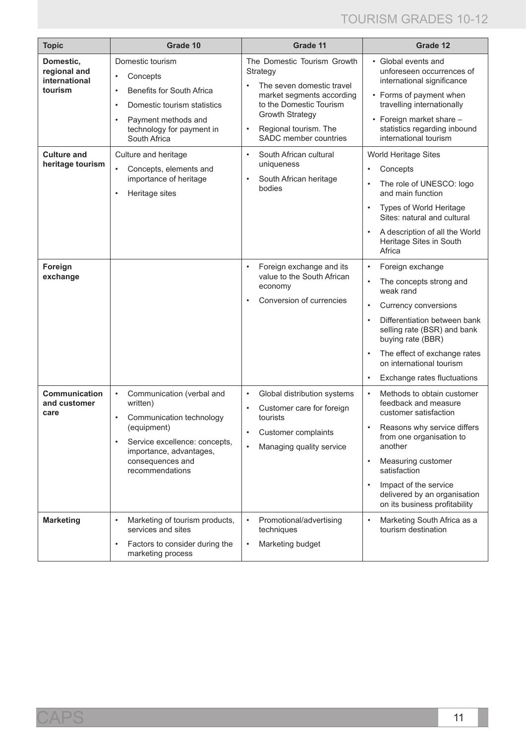| <b>Topic</b>                                          | Grade 10                                                                                                                                                                                         | Grade 11                                                                                                                                                                                                              | Grade 12                                                                                                                                                                                                                                                                                                                 |
|-------------------------------------------------------|--------------------------------------------------------------------------------------------------------------------------------------------------------------------------------------------------|-----------------------------------------------------------------------------------------------------------------------------------------------------------------------------------------------------------------------|--------------------------------------------------------------------------------------------------------------------------------------------------------------------------------------------------------------------------------------------------------------------------------------------------------------------------|
| Domestic,<br>regional and<br>international<br>tourism | Domestic tourism<br>Concepts<br>٠<br>Benefits for South Africa<br>Domestic tourism statistics<br>Payment methods and<br>technology for payment in<br>South Africa                                | The Domestic Tourism Growth<br>Strategy<br>The seven domestic travel<br>market segments according<br>to the Domestic Tourism<br><b>Growth Strategy</b><br>Regional tourism. The<br>$\bullet$<br>SADC member countries | • Global events and<br>unforeseen occurrences of<br>international significance<br>• Forms of payment when<br>travelling internationally<br>• Foreign market share -<br>statistics regarding inbound<br>international tourism                                                                                             |
| <b>Culture and</b><br>heritage tourism                | Culture and heritage<br>$\bullet$<br>Concepts, elements and<br>importance of heritage<br>Heritage sites                                                                                          | South African cultural<br>$\bullet$<br>uniqueness<br>South African heritage<br>$\bullet$<br>bodies                                                                                                                    | World Heritage Sites<br>Concepts<br>The role of UNESCO: logo<br>and main function<br>Types of World Heritage<br>$\bullet$<br>Sites: natural and cultural<br>A description of all the World<br>Heritage Sites in South<br>Africa                                                                                          |
| Foreign<br>exchange                                   |                                                                                                                                                                                                  | Foreign exchange and its<br>$\bullet$<br>value to the South African<br>economy<br>Conversion of currencies<br>$\bullet$                                                                                               | Foreign exchange<br>$\bullet$<br>The concepts strong and<br>weak rand<br>Currency conversions<br>$\bullet$<br>Differentiation between bank<br>selling rate (BSR) and bank<br>buying rate (BBR)<br>The effect of exchange rates<br>$\bullet$<br>on international tourism<br>Exchange rates fluctuations<br>$\bullet$      |
| <b>Communication</b><br>and customer<br>care          | $\bullet$<br>Communication (verbal and<br>written)<br>Communication technology<br>(equipment)<br>Service excellence: concepts,<br>importance, advantages,<br>consequences and<br>recommendations | Global distribution systems<br>$\bullet$<br>Customer care for foreign<br>$\bullet$<br>tourists<br>Customer complaints<br>$\bullet$<br>Managing quality service<br>$\bullet$                                           | Methods to obtain customer<br>$\bullet$<br>feedback and measure<br>customer satisfaction<br>Reasons why service differs<br>$\bullet$<br>from one organisation to<br>another<br>Measuring customer<br>$\bullet$<br>satisfaction<br>Impact of the service<br>delivered by an organisation<br>on its business profitability |
| <b>Marketing</b>                                      | Marketing of tourism products,<br>$\bullet$<br>services and sites<br>Factors to consider during the<br>$\bullet$<br>marketing process                                                            | Promotional/advertising<br>$\bullet$<br>techniques<br>Marketing budget<br>$\bullet$                                                                                                                                   | Marketing South Africa as a<br>$\bullet$<br>tourism destination                                                                                                                                                                                                                                                          |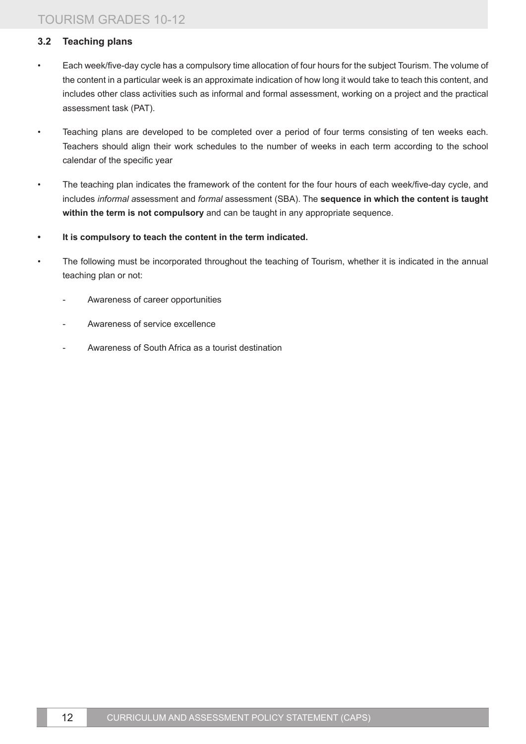### **3.2 Teaching plans**

- • Each week/five-day cycle has a compulsory time allocation of four hours for the subject Tourism. The volume of the content in a particular week is an approximate indication of how long it would take to teach this content, and includes other class activities such as informal and formal assessment, working on a project and the practical assessment task (PAT).
- Teaching plans are developed to be completed over a period of four terms consisting of ten weeks each. Teachers should align their work schedules to the number of weeks in each term according to the school calendar of the specific year
- The teaching plan indicates the framework of the content for the four hours of each week/five-day cycle, and includes *informal a*ssessment and *formal* assessment (SBA). The **sequence in which the content is taught within the term is not compulsory** and can be taught in any appropriate sequence.
- It is compulsory to teach the content in the term indicated.
- The following must be incorporated throughout the teaching of Tourism, whether it is indicated in the annual teaching plan or not:
	- Awareness of career opportunities
	- Awareness of service excellence
	- Awareness of South Africa as a tourist destination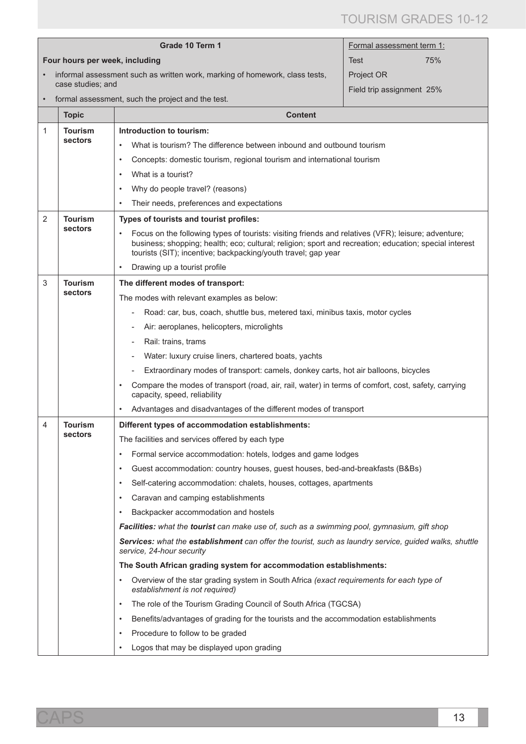|                                                                                                  | Grade 10 Term 1<br>Formal assessment term 1: |                                                                                                                                                                                                                                                                                     |                           |  |
|--------------------------------------------------------------------------------------------------|----------------------------------------------|-------------------------------------------------------------------------------------------------------------------------------------------------------------------------------------------------------------------------------------------------------------------------------------|---------------------------|--|
| Four hours per week, including                                                                   |                                              |                                                                                                                                                                                                                                                                                     | 75%<br><b>Test</b>        |  |
| informal assessment such as written work, marking of homework, class tests,<br>case studies; and |                                              |                                                                                                                                                                                                                                                                                     | Project OR                |  |
| formal assessment, such the project and the test.                                                |                                              |                                                                                                                                                                                                                                                                                     | Field trip assignment 25% |  |
|                                                                                                  | <b>Topic</b>                                 | <b>Content</b>                                                                                                                                                                                                                                                                      |                           |  |
| $\mathbf{1}$                                                                                     | <b>Tourism</b>                               | Introduction to tourism:                                                                                                                                                                                                                                                            |                           |  |
|                                                                                                  | sectors                                      | What is tourism? The difference between inbound and outbound tourism<br>٠                                                                                                                                                                                                           |                           |  |
|                                                                                                  |                                              | Concepts: domestic tourism, regional tourism and international tourism<br>٠                                                                                                                                                                                                         |                           |  |
|                                                                                                  |                                              | What is a tourist?<br>٠                                                                                                                                                                                                                                                             |                           |  |
|                                                                                                  |                                              | Why do people travel? (reasons)<br>٠                                                                                                                                                                                                                                                |                           |  |
|                                                                                                  |                                              | Their needs, preferences and expectations<br>$\bullet$                                                                                                                                                                                                                              |                           |  |
| 2                                                                                                | <b>Tourism</b>                               | Types of tourists and tourist profiles:                                                                                                                                                                                                                                             |                           |  |
|                                                                                                  | sectors                                      | Focus on the following types of tourists: visiting friends and relatives (VFR); leisure; adventure;<br>٠<br>business; shopping; health; eco; cultural; religion; sport and recreation; education; special interest<br>tourists (SIT); incentive; backpacking/youth travel; gap year |                           |  |
|                                                                                                  |                                              | Drawing up a tourist profile<br>$\bullet$                                                                                                                                                                                                                                           |                           |  |
| 3                                                                                                | <b>Tourism</b>                               | The different modes of transport:                                                                                                                                                                                                                                                   |                           |  |
|                                                                                                  | sectors                                      | The modes with relevant examples as below:                                                                                                                                                                                                                                          |                           |  |
|                                                                                                  |                                              | Road: car, bus, coach, shuttle bus, metered taxi, minibus taxis, motor cycles                                                                                                                                                                                                       |                           |  |
|                                                                                                  |                                              | Air: aeroplanes, helicopters, microlights                                                                                                                                                                                                                                           |                           |  |
|                                                                                                  |                                              | Rail: trains, trams                                                                                                                                                                                                                                                                 |                           |  |
|                                                                                                  |                                              | Water: luxury cruise liners, chartered boats, yachts                                                                                                                                                                                                                                |                           |  |
|                                                                                                  |                                              | Extraordinary modes of transport: camels, donkey carts, hot air balloons, bicycles                                                                                                                                                                                                  |                           |  |
|                                                                                                  |                                              | Compare the modes of transport (road, air, rail, water) in terms of comfort, cost, safety, carrying<br>capacity, speed, reliability                                                                                                                                                 |                           |  |
|                                                                                                  |                                              | Advantages and disadvantages of the different modes of transport                                                                                                                                                                                                                    |                           |  |
| 4                                                                                                | <b>Tourism</b>                               | Different types of accommodation establishments:                                                                                                                                                                                                                                    |                           |  |
|                                                                                                  | sectors                                      | The facilities and services offered by each type                                                                                                                                                                                                                                    |                           |  |
|                                                                                                  |                                              | Formal service accommodation: hotels, lodges and game lodges<br>٠                                                                                                                                                                                                                   |                           |  |
|                                                                                                  |                                              | Guest accommodation: country houses, guest houses, bed-and-breakfasts (B&Bs)<br>٠                                                                                                                                                                                                   |                           |  |
|                                                                                                  |                                              | Self-catering accommodation: chalets, houses, cottages, apartments<br>٠                                                                                                                                                                                                             |                           |  |
|                                                                                                  |                                              | Caravan and camping establishments<br>٠                                                                                                                                                                                                                                             |                           |  |
|                                                                                                  |                                              | Backpacker accommodation and hostels                                                                                                                                                                                                                                                |                           |  |
|                                                                                                  |                                              | Facilities: what the tourist can make use of, such as a swimming pool, gymnasium, gift shop                                                                                                                                                                                         |                           |  |
|                                                                                                  |                                              | Services: what the establishment can offer the tourist, such as laundry service, guided walks, shuttle<br>service, 24-hour security                                                                                                                                                 |                           |  |
|                                                                                                  |                                              | The South African grading system for accommodation establishments:                                                                                                                                                                                                                  |                           |  |
|                                                                                                  |                                              | Overview of the star grading system in South Africa (exact requirements for each type of<br>$\bullet$<br>establishment is not required)                                                                                                                                             |                           |  |
|                                                                                                  |                                              | The role of the Tourism Grading Council of South Africa (TGCSA)<br>$\bullet$                                                                                                                                                                                                        |                           |  |
|                                                                                                  |                                              | Benefits/advantages of grading for the tourists and the accommodation establishments                                                                                                                                                                                                |                           |  |
|                                                                                                  |                                              | Procedure to follow to be graded<br>$\bullet$                                                                                                                                                                                                                                       |                           |  |
|                                                                                                  |                                              | Logos that may be displayed upon grading                                                                                                                                                                                                                                            |                           |  |

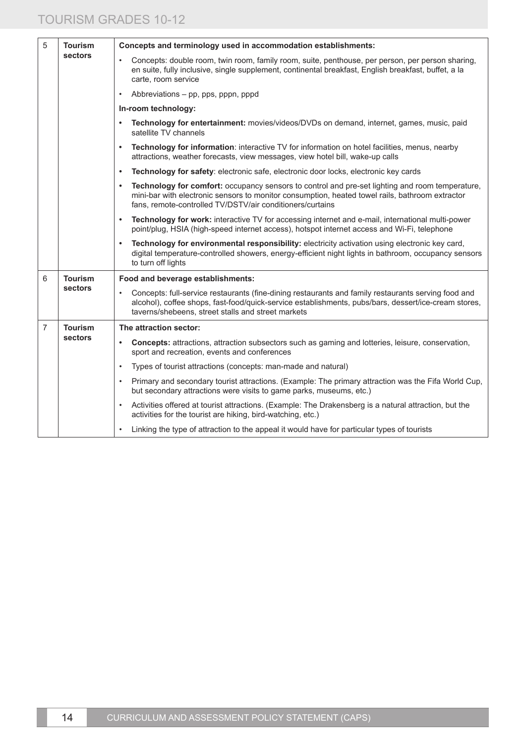| 5              | <b>Tourism</b>            | Concepts and terminology used in accommodation establishments:                                                                                                                                                                                                                 |
|----------------|---------------------------|--------------------------------------------------------------------------------------------------------------------------------------------------------------------------------------------------------------------------------------------------------------------------------|
|                | sectors                   | Concepts: double room, twin room, family room, suite, penthouse, per person, per person sharing,<br>$\bullet$<br>en suite, fully inclusive, single supplement, continental breakfast, English breakfast, buffet, a la<br>carte, room service                                   |
|                |                           | Abbreviations - pp, pps, pppn, pppd<br>$\bullet$                                                                                                                                                                                                                               |
|                |                           | In-room technology:                                                                                                                                                                                                                                                            |
|                |                           | Technology for entertainment: movies/videos/DVDs on demand, internet, games, music, paid<br>$\bullet$<br>satellite TV channels                                                                                                                                                 |
|                |                           | Technology for information: interactive TV for information on hotel facilities, menus, nearby<br>$\bullet$<br>attractions, weather forecasts, view messages, view hotel bill, wake-up calls                                                                                    |
|                |                           | Technology for safety: electronic safe, electronic door locks, electronic key cards<br>$\bullet$                                                                                                                                                                               |
|                |                           | Technology for comfort: occupancy sensors to control and pre-set lighting and room temperature,<br>$\bullet$<br>mini-bar with electronic sensors to monitor consumption, heated towel rails, bathroom extractor<br>fans, remote-controlled TV/DSTV/air conditioners/curtains   |
|                |                           | Technology for work: interactive TV for accessing internet and e-mail, international multi-power<br>$\bullet$<br>point/plug, HSIA (high-speed internet access), hotspot internet access and Wi-Fi, telephone                                                                   |
|                |                           | Technology for environmental responsibility: electricity activation using electronic key card,<br>$\bullet$<br>digital temperature-controlled showers, energy-efficient night lights in bathroom, occupancy sensors<br>to turn off lights                                      |
| 6              | <b>Tourism</b><br>sectors | Food and beverage establishments:                                                                                                                                                                                                                                              |
|                |                           | Concepts: full-service restaurants (fine-dining restaurants and family restaurants serving food and<br>$\bullet$<br>alcohol), coffee shops, fast-food/quick-service establishments, pubs/bars, dessert/ice-cream stores,<br>taverns/shebeens, street stalls and street markets |
| $\overline{7}$ | <b>Tourism</b>            | The attraction sector:                                                                                                                                                                                                                                                         |
|                | sectors                   | <b>Concepts:</b> attractions, attraction subsectors such as gaming and lotteries, leisure, conservation,<br>$\bullet$<br>sport and recreation, events and conferences                                                                                                          |
|                |                           | Types of tourist attractions (concepts: man-made and natural)<br>$\bullet$                                                                                                                                                                                                     |
|                |                           | Primary and secondary tourist attractions. (Example: The primary attraction was the Fifa World Cup,<br>$\bullet$<br>but secondary attractions were visits to game parks, museums, etc.)                                                                                        |
|                |                           | Activities offered at tourist attractions. (Example: The Drakensberg is a natural attraction, but the<br>$\bullet$<br>activities for the tourist are hiking, bird-watching, etc.)                                                                                              |
|                |                           | Linking the type of attraction to the appeal it would have for particular types of tourists<br>$\bullet$                                                                                                                                                                       |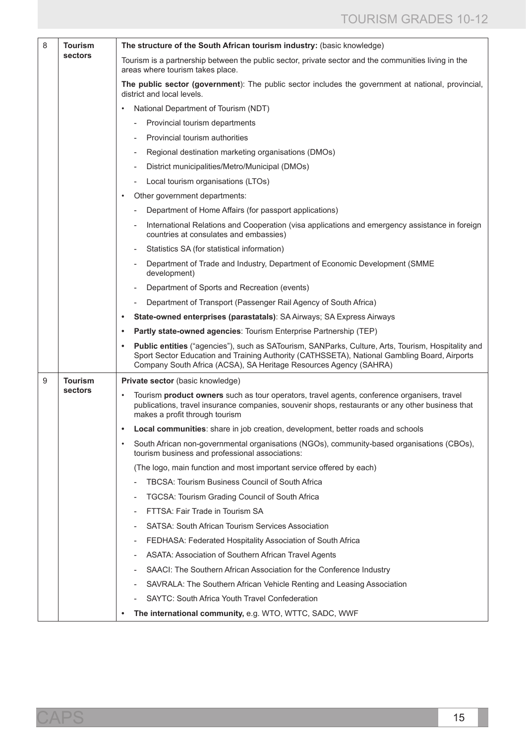| 8 | <b>Tourism</b><br>sectors | The structure of the South African tourism industry: (basic knowledge)                                                                                                                                                                                                  |  |
|---|---------------------------|-------------------------------------------------------------------------------------------------------------------------------------------------------------------------------------------------------------------------------------------------------------------------|--|
|   |                           | Tourism is a partnership between the public sector, private sector and the communities living in the<br>areas where tourism takes place.                                                                                                                                |  |
|   |                           | The public sector (government): The public sector includes the government at national, provincial,<br>district and local levels.                                                                                                                                        |  |
|   |                           | National Department of Tourism (NDT)<br>$\bullet$                                                                                                                                                                                                                       |  |
|   |                           | Provincial tourism departments                                                                                                                                                                                                                                          |  |
|   |                           | Provincial tourism authorities                                                                                                                                                                                                                                          |  |
|   |                           | Regional destination marketing organisations (DMOs)                                                                                                                                                                                                                     |  |
|   |                           | District municipalities/Metro/Municipal (DMOs)                                                                                                                                                                                                                          |  |
|   |                           | Local tourism organisations (LTOs)                                                                                                                                                                                                                                      |  |
|   |                           | Other government departments:<br>$\bullet$                                                                                                                                                                                                                              |  |
|   |                           | Department of Home Affairs (for passport applications)                                                                                                                                                                                                                  |  |
|   |                           | International Relations and Cooperation (visa applications and emergency assistance in foreign<br>countries at consulates and embassies)                                                                                                                                |  |
|   |                           | Statistics SA (for statistical information)                                                                                                                                                                                                                             |  |
|   |                           | Department of Trade and Industry, Department of Economic Development (SMME<br>development)                                                                                                                                                                              |  |
|   |                           | Department of Sports and Recreation (events)                                                                                                                                                                                                                            |  |
|   |                           | Department of Transport (Passenger Rail Agency of South Africa)                                                                                                                                                                                                         |  |
|   |                           | State-owned enterprises (parastatals): SA Airways; SA Express Airways                                                                                                                                                                                                   |  |
|   |                           | Partly state-owned agencies: Tourism Enterprise Partnership (TEP)<br>$\bullet$                                                                                                                                                                                          |  |
|   |                           | Public entities ("agencies"), such as SATourism, SANParks, Culture, Arts, Tourism, Hospitality and<br>Sport Sector Education and Training Authority (CATHSSETA), National Gambling Board, Airports<br>Company South Africa (ACSA), SA Heritage Resources Agency (SAHRA) |  |
| 9 | <b>Tourism</b>            | Private sector (basic knowledge)                                                                                                                                                                                                                                        |  |
|   | sectors                   | Tourism product owners such as tour operators, travel agents, conference organisers, travel<br>$\bullet$<br>publications, travel insurance companies, souvenir shops, restaurants or any other business that<br>makes a profit through tourism                          |  |
|   |                           | Local communities: share in job creation, development, better roads and schools<br>$\bullet$                                                                                                                                                                            |  |
|   |                           | South African non-governmental organisations (NGOs), community-based organisations (CBOs),<br>$\bullet$<br>tourism business and professional associations:                                                                                                              |  |
|   |                           | (The logo, main function and most important service offered by each)                                                                                                                                                                                                    |  |
|   |                           | TBCSA: Tourism Business Council of South Africa                                                                                                                                                                                                                         |  |
|   |                           | TGCSA: Tourism Grading Council of South Africa                                                                                                                                                                                                                          |  |
|   |                           | FTTSA: Fair Trade in Tourism SA                                                                                                                                                                                                                                         |  |
|   |                           | SATSA: South African Tourism Services Association                                                                                                                                                                                                                       |  |
|   |                           | FEDHASA: Federated Hospitality Association of South Africa                                                                                                                                                                                                              |  |
|   |                           | ASATA: Association of Southern African Travel Agents                                                                                                                                                                                                                    |  |
|   |                           | SAACI: The Southern African Association for the Conference Industry                                                                                                                                                                                                     |  |
|   |                           | SAVRALA: The Southern African Vehicle Renting and Leasing Association                                                                                                                                                                                                   |  |
|   |                           | SAYTC: South Africa Youth Travel Confederation                                                                                                                                                                                                                          |  |
|   |                           | The international community, e.g. WTO, WTTC, SADC, WWF<br>٠                                                                                                                                                                                                             |  |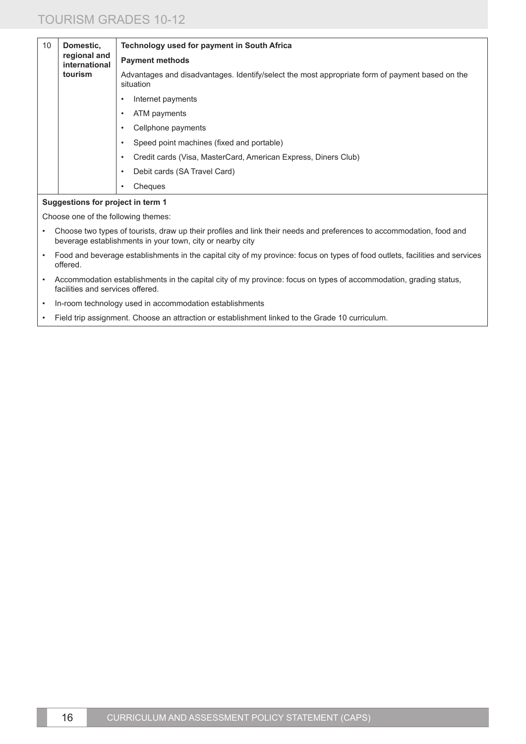| 10 | Domestic,<br>regional and<br>international<br>tourism | Technology used for payment in South Africa                                                                  |  |  |
|----|-------------------------------------------------------|--------------------------------------------------------------------------------------------------------------|--|--|
|    |                                                       | <b>Payment methods</b>                                                                                       |  |  |
|    |                                                       | Advantages and disadvantages. Identify/select the most appropriate form of payment based on the<br>situation |  |  |
|    |                                                       | Internet payments                                                                                            |  |  |
|    |                                                       | ATM payments                                                                                                 |  |  |
|    |                                                       | Cellphone payments                                                                                           |  |  |
|    |                                                       | Speed point machines (fixed and portable)                                                                    |  |  |
|    |                                                       | Credit cards (Visa, MasterCard, American Express, Diners Club)                                               |  |  |
|    |                                                       | Debit cards (SA Travel Card)                                                                                 |  |  |
|    |                                                       | Cheques                                                                                                      |  |  |
|    | Suggestions for project in term 1                     |                                                                                                              |  |  |
|    | Choose one of the following themes:                   |                                                                                                              |  |  |

- • Choose two types of tourists, draw up their profiles and link their needs and preferences to accommodation, food and beverage establishments in your town, city or nearby city
- • Food and beverage establishments in the capital city of my province: focus on types of food outlets, facilities and services offered.
- • Accommodation establishments in the capital city of my province: focus on types of accommodation, grading status, facilities and services offered.
- • In-room technology used in accommodation establishments

Field trip assignment. Choose an attraction or establishment linked to the Grade 10 curriculum.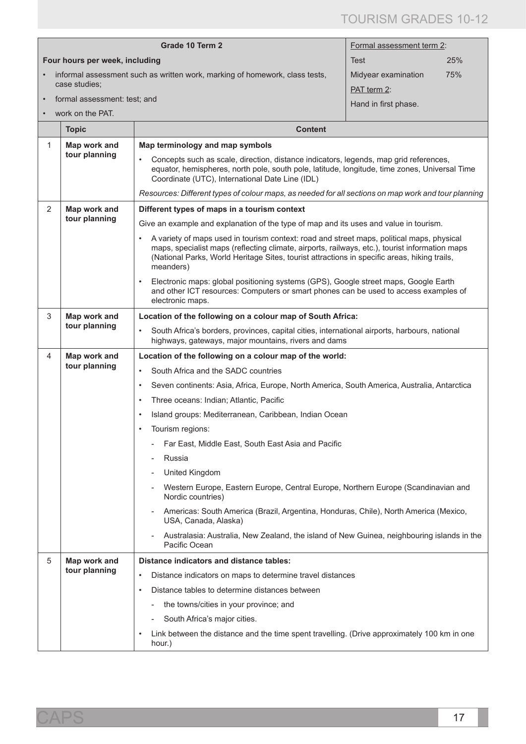| Grade 10 Term 2                                                             |                               | Formal assessment term 2:                                                                                                                                                                                                                                                                                             |                      |     |
|-----------------------------------------------------------------------------|-------------------------------|-----------------------------------------------------------------------------------------------------------------------------------------------------------------------------------------------------------------------------------------------------------------------------------------------------------------------|----------------------|-----|
| Four hours per week, including                                              |                               |                                                                                                                                                                                                                                                                                                                       | <b>Test</b>          | 25% |
| informal assessment such as written work, marking of homework, class tests, |                               |                                                                                                                                                                                                                                                                                                                       | Midyear examination  | 75% |
| case studies;                                                               |                               |                                                                                                                                                                                                                                                                                                                       | PAT term 2:          |     |
| $\bullet$                                                                   | formal assessment: test; and  |                                                                                                                                                                                                                                                                                                                       | Hand in first phase. |     |
|                                                                             | work on the PAT.              |                                                                                                                                                                                                                                                                                                                       |                      |     |
|                                                                             | <b>Topic</b>                  | <b>Content</b>                                                                                                                                                                                                                                                                                                        |                      |     |
| 1                                                                           | Map work and<br>tour planning | Map terminology and map symbols                                                                                                                                                                                                                                                                                       |                      |     |
|                                                                             |                               | Concepts such as scale, direction, distance indicators, legends, map grid references,<br>equator, hemispheres, north pole, south pole, latitude, longitude, time zones, Universal Time<br>Coordinate (UTC), International Date Line (IDL)                                                                             |                      |     |
|                                                                             |                               | Resources: Different types of colour maps, as needed for all sections on map work and tour planning                                                                                                                                                                                                                   |                      |     |
| $\overline{2}$                                                              | Map work and                  | Different types of maps in a tourism context                                                                                                                                                                                                                                                                          |                      |     |
|                                                                             | tour planning                 | Give an example and explanation of the type of map and its uses and value in tourism.                                                                                                                                                                                                                                 |                      |     |
|                                                                             |                               | A variety of maps used in tourism context: road and street maps, political maps, physical<br>$\bullet$<br>maps, specialist maps (reflecting climate, airports, railways, etc.), tourist information maps<br>(National Parks, World Heritage Sites, tourist attractions in specific areas, hiking trails,<br>meanders) |                      |     |
|                                                                             |                               | Electronic maps: global positioning systems (GPS), Google street maps, Google Earth<br>and other ICT resources: Computers or smart phones can be used to access examples of<br>electronic maps.                                                                                                                       |                      |     |
| 3                                                                           | Map work and                  | Location of the following on a colour map of South Africa:                                                                                                                                                                                                                                                            |                      |     |
|                                                                             | tour planning                 | South Africa's borders, provinces, capital cities, international airports, harbours, national<br>highways, gateways, major mountains, rivers and dams                                                                                                                                                                 |                      |     |
| 4                                                                           | Map work and                  | Location of the following on a colour map of the world:                                                                                                                                                                                                                                                               |                      |     |
|                                                                             | tour planning                 | South Africa and the SADC countries<br>$\bullet$                                                                                                                                                                                                                                                                      |                      |     |
|                                                                             |                               | Seven continents: Asia, Africa, Europe, North America, South America, Australia, Antarctica<br>٠                                                                                                                                                                                                                      |                      |     |
|                                                                             |                               | Three oceans: Indian; Atlantic, Pacific<br>$\bullet$                                                                                                                                                                                                                                                                  |                      |     |
|                                                                             |                               | Island groups: Mediterranean, Caribbean, Indian Ocean<br>٠                                                                                                                                                                                                                                                            |                      |     |
|                                                                             |                               | Tourism regions:                                                                                                                                                                                                                                                                                                      |                      |     |
|                                                                             |                               | Far East, Middle East, South East Asia and Pacific                                                                                                                                                                                                                                                                    |                      |     |
|                                                                             |                               | Russia                                                                                                                                                                                                                                                                                                                |                      |     |
|                                                                             |                               | United Kingdom                                                                                                                                                                                                                                                                                                        |                      |     |
|                                                                             |                               | Western Europe, Eastern Europe, Central Europe, Northern Europe (Scandinavian and<br>Nordic countries)                                                                                                                                                                                                                |                      |     |
|                                                                             |                               | Americas: South America (Brazil, Argentina, Honduras, Chile), North America (Mexico,<br>USA, Canada, Alaska)                                                                                                                                                                                                          |                      |     |
|                                                                             |                               | Australasia: Australia, New Zealand, the island of New Guinea, neighbouring islands in the<br>Pacific Ocean                                                                                                                                                                                                           |                      |     |
| 5                                                                           | Map work and<br>tour planning | Distance indicators and distance tables:                                                                                                                                                                                                                                                                              |                      |     |
|                                                                             |                               | Distance indicators on maps to determine travel distances<br>$\bullet$                                                                                                                                                                                                                                                |                      |     |
|                                                                             |                               | Distance tables to determine distances between<br>$\bullet$                                                                                                                                                                                                                                                           |                      |     |
|                                                                             |                               | the towns/cities in your province; and<br>$\overline{\phantom{a}}$                                                                                                                                                                                                                                                    |                      |     |
|                                                                             |                               | South Africa's major cities.<br>$\overline{\phantom{a}}$                                                                                                                                                                                                                                                              |                      |     |
|                                                                             |                               | Link between the distance and the time spent travelling. (Drive approximately 100 km in one<br>$\bullet$<br>hour.)                                                                                                                                                                                                    |                      |     |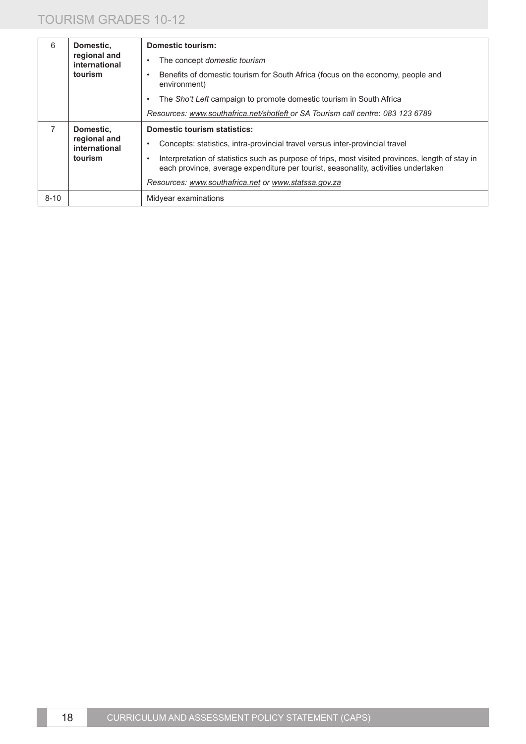| 6        | Domestic.<br>regional and<br>international<br>tourism | Domestic tourism:                                                                                                                                                                                   |
|----------|-------------------------------------------------------|-----------------------------------------------------------------------------------------------------------------------------------------------------------------------------------------------------|
|          |                                                       | The concept domestic tourism<br>$\bullet$                                                                                                                                                           |
|          |                                                       | Benefits of domestic tourism for South Africa (focus on the economy, people and<br>$\bullet$<br>environment)                                                                                        |
|          |                                                       | The <i>Sho't Left</i> campaign to promote domestic tourism in South Africa<br>$\bullet$                                                                                                             |
|          |                                                       | Resources: www.southafrica.net/shotleft or SA Tourism call centre: 083 123 6789                                                                                                                     |
| 7        | Domestic,                                             | Domestic tourism statistics:                                                                                                                                                                        |
|          | regional and<br>international                         | Concepts: statistics, intra-provincial travel versus inter-provincial travel<br>$\bullet$                                                                                                           |
|          | tourism                                               | Interpretation of statistics such as purpose of trips, most visited provinces, length of stay in<br>$\bullet$<br>each province, average expenditure per tourist, seasonality, activities undertaken |
|          |                                                       | Resources: www.southafrica.net or www.statssa.gov.za                                                                                                                                                |
| $8 - 10$ |                                                       | Midyear examinations                                                                                                                                                                                |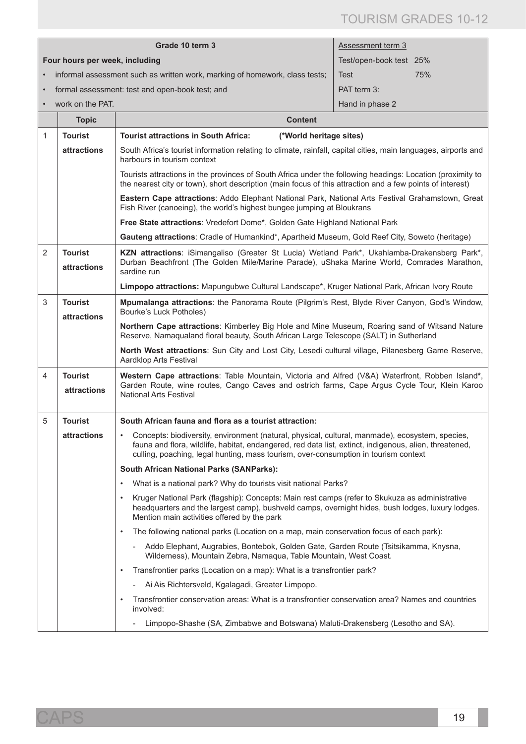|                                                                             | Grade 10 term 3<br><b>Assessment term 3</b> |                                                                                                                                                                                                                                                                                                  |                         |  |
|-----------------------------------------------------------------------------|---------------------------------------------|--------------------------------------------------------------------------------------------------------------------------------------------------------------------------------------------------------------------------------------------------------------------------------------------------|-------------------------|--|
| Four hours per week, including                                              |                                             |                                                                                                                                                                                                                                                                                                  | Test/open-book test 25% |  |
| informal assessment such as written work, marking of homework, class tests; |                                             |                                                                                                                                                                                                                                                                                                  | 75%<br>Test             |  |
| formal assessment: test and open-book test; and                             |                                             |                                                                                                                                                                                                                                                                                                  | PAT term 3:             |  |
|                                                                             | work on the PAT.                            |                                                                                                                                                                                                                                                                                                  | Hand in phase 2         |  |
|                                                                             | <b>Topic</b>                                | <b>Content</b>                                                                                                                                                                                                                                                                                   |                         |  |
| 1                                                                           | <b>Tourist</b>                              | <b>Tourist attractions in South Africa:</b><br>(*World heritage sites)                                                                                                                                                                                                                           |                         |  |
|                                                                             | <b>attractions</b>                          | South Africa's tourist information relating to climate, rainfall, capital cities, main languages, airports and<br>harbours in tourism context                                                                                                                                                    |                         |  |
|                                                                             |                                             | Tourists attractions in the provinces of South Africa under the following headings: Location (proximity to<br>the nearest city or town), short description (main focus of this attraction and a few points of interest)                                                                          |                         |  |
|                                                                             |                                             | Eastern Cape attractions: Addo Elephant National Park, National Arts Festival Grahamstown, Great<br>Fish River (canoeing), the world's highest bungee jumping at Bloukrans                                                                                                                       |                         |  |
|                                                                             |                                             | Free State attractions: Vredefort Dome*, Golden Gate Highland National Park                                                                                                                                                                                                                      |                         |  |
|                                                                             |                                             | Gauteng attractions: Cradle of Humankind*, Apartheid Museum, Gold Reef City, Soweto (heritage)                                                                                                                                                                                                   |                         |  |
| 2                                                                           | <b>Tourist</b><br>attractions               | KZN attractions: iSimangaliso (Greater St Lucia) Wetland Park*, Ukahlamba-Drakensberg Park*,<br>Durban Beachfront (The Golden Mile/Marine Parade), uShaka Marine World, Comrades Marathon,<br>sardine run                                                                                        |                         |  |
|                                                                             |                                             | Limpopo attractions: Mapungubwe Cultural Landscape*, Kruger National Park, African Ivory Route                                                                                                                                                                                                   |                         |  |
| 3                                                                           | <b>Tourist</b><br>attractions               | Mpumalanga attractions: the Panorama Route (Pilgrim's Rest, Blyde River Canyon, God's Window,<br>Bourke's Luck Potholes)                                                                                                                                                                         |                         |  |
|                                                                             |                                             | Northern Cape attractions: Kimberley Big Hole and Mine Museum, Roaring sand of Witsand Nature<br>Reserve, Namaqualand floral beauty, South African Large Telescope (SALT) in Sutherland                                                                                                          |                         |  |
|                                                                             |                                             | North West attractions: Sun City and Lost City, Lesedi cultural village, Pilanesberg Game Reserve,<br>Aardklop Arts Festival                                                                                                                                                                     |                         |  |
| 4                                                                           | <b>Tourist</b><br><b>attractions</b>        | Western Cape attractions: Table Mountain, Victoria and Alfred (V&A) Waterfront, Robben Island*,<br>Garden Route, wine routes, Cango Caves and ostrich farms, Cape Argus Cycle Tour, Klein Karoo<br><b>National Arts Festival</b>                                                                 |                         |  |
| 5                                                                           | <b>Tourist</b>                              | South African fauna and flora as a tourist attraction:                                                                                                                                                                                                                                           |                         |  |
|                                                                             | <b>attractions</b>                          | Concepts: biodiversity, environment (natural, physical, cultural, manmade), ecosystem, species,<br>fauna and flora, wildlife, habitat, endangered, red data list, extinct, indigenous, alien, threatened,<br>culling, poaching, legal hunting, mass tourism, over-consumption in tourism context |                         |  |
|                                                                             |                                             | <b>South African National Parks (SANParks):</b>                                                                                                                                                                                                                                                  |                         |  |
|                                                                             |                                             | What is a national park? Why do tourists visit national Parks?<br>$\bullet$                                                                                                                                                                                                                      |                         |  |
|                                                                             |                                             | Kruger National Park (flagship): Concepts: Main rest camps (refer to Skukuza as administrative<br>$\bullet$<br>headquarters and the largest camp), bushveld camps, overnight hides, bush lodges, luxury lodges.<br>Mention main activities offered by the park                                   |                         |  |
|                                                                             |                                             | The following national parks (Location on a map, main conservation focus of each park):<br>$\bullet$                                                                                                                                                                                             |                         |  |
|                                                                             |                                             | Addo Elephant, Augrabies, Bontebok, Golden Gate, Garden Route (Tsitsikamma, Knysna,<br>Wilderness), Mountain Zebra, Namaqua, Table Mountain, West Coast.                                                                                                                                         |                         |  |
|                                                                             |                                             | Transfrontier parks (Location on a map): What is a transfrontier park?<br>$\bullet$                                                                                                                                                                                                              |                         |  |
|                                                                             |                                             | Ai Ais Richtersveld, Kgalagadi, Greater Limpopo.                                                                                                                                                                                                                                                 |                         |  |
|                                                                             |                                             | Transfrontier conservation areas: What is a transfrontier conservation area? Names and countries<br>$\bullet$<br>involved:                                                                                                                                                                       |                         |  |
|                                                                             |                                             | Limpopo-Shashe (SA, Zimbabwe and Botswana) Maluti-Drakensberg (Lesotho and SA).                                                                                                                                                                                                                  |                         |  |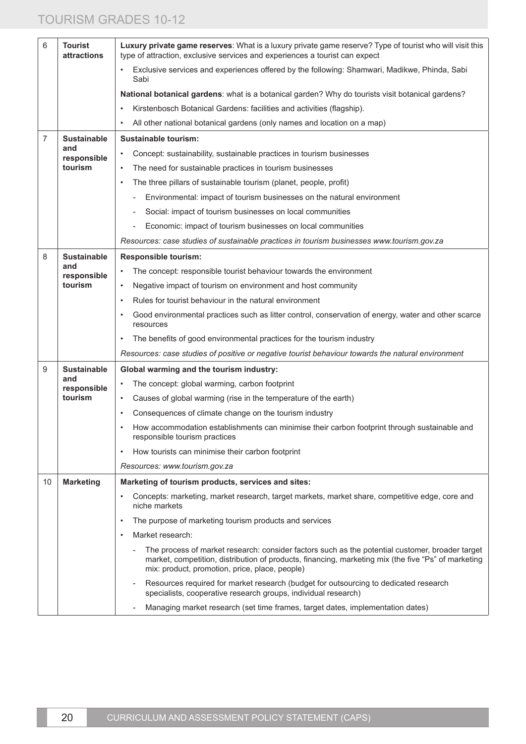| 6  | <b>Tourist</b><br><b>attractions</b> | Luxury private game reserves: What is a luxury private game reserve? Type of tourist who will visit this<br>type of attraction, exclusive services and experiences a tourist can expect                                                                  |
|----|--------------------------------------|----------------------------------------------------------------------------------------------------------------------------------------------------------------------------------------------------------------------------------------------------------|
|    |                                      | Exclusive services and experiences offered by the following: Shamwari, Madikwe, Phinda, Sabi<br>$\bullet$<br>Sabi                                                                                                                                        |
|    |                                      | National botanical gardens: what is a botanical garden? Why do tourists visit botanical gardens?                                                                                                                                                         |
|    |                                      | Kirstenbosch Botanical Gardens: facilities and activities (flagship).<br>$\bullet$                                                                                                                                                                       |
|    |                                      | All other national botanical gardens (only names and location on a map)<br>$\bullet$                                                                                                                                                                     |
| 7  | <b>Sustainable</b>                   | <b>Sustainable tourism:</b>                                                                                                                                                                                                                              |
|    | and<br>responsible                   | Concept: sustainability, sustainable practices in tourism businesses<br>$\bullet$                                                                                                                                                                        |
|    | tourism                              | The need for sustainable practices in tourism businesses<br>$\bullet$                                                                                                                                                                                    |
|    |                                      | The three pillars of sustainable tourism (planet, people, profit)<br>$\bullet$                                                                                                                                                                           |
|    |                                      | Environmental: impact of tourism businesses on the natural environment                                                                                                                                                                                   |
|    |                                      | Social: impact of tourism businesses on local communities                                                                                                                                                                                                |
|    |                                      | Economic: impact of tourism businesses on local communities                                                                                                                                                                                              |
|    |                                      | Resources: case studies of sustainable practices in tourism businesses www.tourism.gov.za                                                                                                                                                                |
| 8  | <b>Sustainable</b>                   | Responsible tourism:                                                                                                                                                                                                                                     |
|    | and<br>responsible                   | The concept: responsible tourist behaviour towards the environment<br>$\bullet$                                                                                                                                                                          |
|    | tourism                              | Negative impact of tourism on environment and host community<br>$\bullet$                                                                                                                                                                                |
|    |                                      | Rules for tourist behaviour in the natural environment<br>$\bullet$                                                                                                                                                                                      |
|    |                                      | Good environmental practices such as litter control, conservation of energy, water and other scarce<br>$\bullet$<br>resources                                                                                                                            |
|    |                                      | The benefits of good environmental practices for the tourism industry                                                                                                                                                                                    |
|    |                                      | Resources: case studies of positive or negative tourist behaviour towards the natural environment                                                                                                                                                        |
| 9  | <b>Sustainable</b>                   | Global warming and the tourism industry:                                                                                                                                                                                                                 |
|    | and<br>responsible<br>tourism        | The concept: global warming, carbon footprint<br>$\bullet$                                                                                                                                                                                               |
|    |                                      | Causes of global warming (rise in the temperature of the earth)<br>$\bullet$                                                                                                                                                                             |
|    |                                      | Consequences of climate change on the tourism industry                                                                                                                                                                                                   |
|    |                                      | How accommodation establishments can minimise their carbon footprint through sustainable and<br>responsible tourism practices                                                                                                                            |
|    |                                      | How tourists can minimise their carbon footprint                                                                                                                                                                                                         |
|    |                                      | Resources: www.tourism.gov.za                                                                                                                                                                                                                            |
| 10 | <b>Marketing</b>                     | Marketing of tourism products, services and sites:                                                                                                                                                                                                       |
|    |                                      | Concepts: marketing, market research, target markets, market share, competitive edge, core and<br>$\bullet$<br>niche markets                                                                                                                             |
|    |                                      | The purpose of marketing tourism products and services                                                                                                                                                                                                   |
|    |                                      | Market research:<br>$\bullet$                                                                                                                                                                                                                            |
|    |                                      | The process of market research: consider factors such as the potential customer, broader target<br>market, competition, distribution of products, financing, marketing mix (the five "Ps" of marketing<br>mix: product, promotion, price, place, people) |
|    |                                      | Resources required for market research (budget for outsourcing to dedicated research<br>specialists, cooperative research groups, individual research)                                                                                                   |
|    |                                      | Managing market research (set time frames, target dates, implementation dates)                                                                                                                                                                           |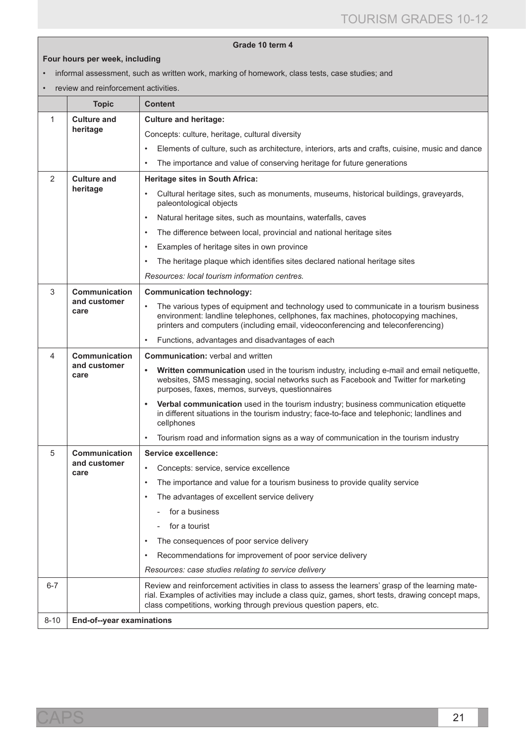### **Four hours per week, including**

#### **Grade 10 term 4**

- • informal assessment, such as written work, marking of homework, class tests, case studies; and
- • review and reinforcement activities.

|                | <b>Topic</b>                                 | <b>Content</b>                                                                                                                                                                                                                                                                 |
|----------------|----------------------------------------------|--------------------------------------------------------------------------------------------------------------------------------------------------------------------------------------------------------------------------------------------------------------------------------|
| 1              | <b>Culture and</b>                           | <b>Culture and heritage:</b>                                                                                                                                                                                                                                                   |
|                | heritage                                     | Concepts: culture, heritage, cultural diversity                                                                                                                                                                                                                                |
|                |                                              | Elements of culture, such as architecture, interiors, arts and crafts, cuisine, music and dance                                                                                                                                                                                |
|                |                                              | The importance and value of conserving heritage for future generations                                                                                                                                                                                                         |
| $\overline{2}$ | <b>Culture and</b>                           | Heritage sites in South Africa:                                                                                                                                                                                                                                                |
|                | heritage                                     | Cultural heritage sites, such as monuments, museums, historical buildings, graveyards,<br>$\bullet$<br>paleontological objects                                                                                                                                                 |
|                |                                              | Natural heritage sites, such as mountains, waterfalls, caves<br>$\bullet$                                                                                                                                                                                                      |
|                |                                              | The difference between local, provincial and national heritage sites<br>$\bullet$                                                                                                                                                                                              |
|                |                                              | Examples of heritage sites in own province<br>$\bullet$                                                                                                                                                                                                                        |
|                |                                              | The heritage plaque which identifies sites declared national heritage sites<br>$\bullet$                                                                                                                                                                                       |
|                |                                              | Resources: local tourism information centres.                                                                                                                                                                                                                                  |
| 3              | <b>Communication</b>                         | <b>Communication technology:</b>                                                                                                                                                                                                                                               |
|                | and customer<br>care                         | The various types of equipment and technology used to communicate in a tourism business<br>$\bullet$<br>environment: landline telephones, cellphones, fax machines, photocopying machines,<br>printers and computers (including email, videoconferencing and teleconferencing) |
|                |                                              | Functions, advantages and disadvantages of each<br>$\bullet$                                                                                                                                                                                                                   |
| 4              | <b>Communication</b><br>and customer<br>care | <b>Communication:</b> verbal and written                                                                                                                                                                                                                                       |
|                |                                              | Written communication used in the tourism industry, including e-mail and email netiquette,<br>$\bullet$<br>websites, SMS messaging, social networks such as Facebook and Twitter for marketing<br>purposes, faxes, memos, surveys, questionnaires                              |
|                |                                              | Verbal communication used in the tourism industry; business communication etiquette<br>in different situations in the tourism industry; face-to-face and telephonic; landlines and<br>cellphones                                                                               |
|                |                                              | Tourism road and information signs as a way of communication in the tourism industry<br>$\bullet$                                                                                                                                                                              |
| 5              | <b>Communication</b><br>and customer<br>care | Service excellence:                                                                                                                                                                                                                                                            |
|                |                                              | Concepts: service, service excellence<br>$\bullet$                                                                                                                                                                                                                             |
|                |                                              | The importance and value for a tourism business to provide quality service                                                                                                                                                                                                     |
|                |                                              | The advantages of excellent service delivery                                                                                                                                                                                                                                   |
|                |                                              | for a business                                                                                                                                                                                                                                                                 |
|                |                                              | for a tourist                                                                                                                                                                                                                                                                  |
|                |                                              | The consequences of poor service delivery                                                                                                                                                                                                                                      |
|                |                                              | Recommendations for improvement of poor service delivery                                                                                                                                                                                                                       |
|                |                                              | Resources: case studies relating to service delivery                                                                                                                                                                                                                           |
| $6 - 7$        |                                              | Review and reinforcement activities in class to assess the learners' grasp of the learning mate-<br>rial. Examples of activities may include a class quiz, games, short tests, drawing concept maps,<br>class competitions, working through previous question papers, etc.     |
| $8 - 10$       | End-of--year examinations                    |                                                                                                                                                                                                                                                                                |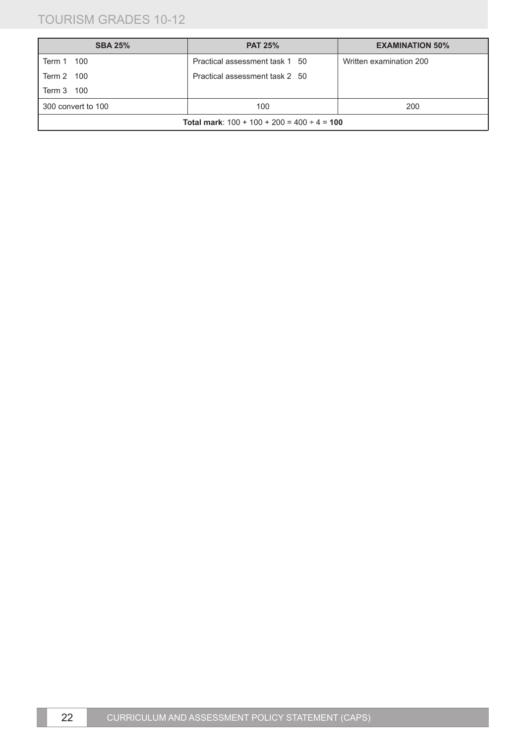| <b>SBA 25%</b>                                   | <b>PAT 25%</b>                 | <b>EXAMINATION 50%</b>  |  |
|--------------------------------------------------|--------------------------------|-------------------------|--|
| Term 1 100                                       | Practical assessment task 1 50 | Written examination 200 |  |
| Term 2 100                                       | Practical assessment task 2 50 |                         |  |
| Term 3 100                                       |                                |                         |  |
| 300 convert to 100                               | 100                            | 200                     |  |
| Total mark: $100 + 100 + 200 = 400 \div 4 = 100$ |                                |                         |  |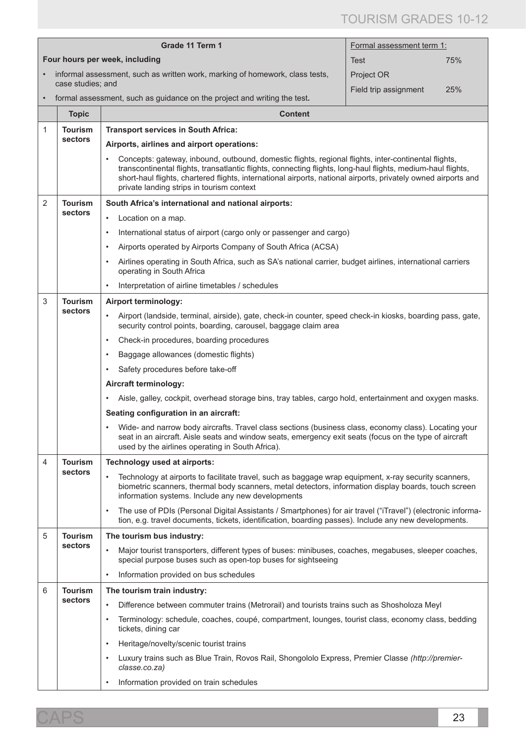|                                                                                                                                                                                                                                                                                                              | Grade 11 Term 1<br>Formal assessment term 1: |                                                                                                                                                                                                                                                                                                                                                                                                  |                              |                       |  |
|--------------------------------------------------------------------------------------------------------------------------------------------------------------------------------------------------------------------------------------------------------------------------------------------------------------|----------------------------------------------|--------------------------------------------------------------------------------------------------------------------------------------------------------------------------------------------------------------------------------------------------------------------------------------------------------------------------------------------------------------------------------------------------|------------------------------|-----------------------|--|
|                                                                                                                                                                                                                                                                                                              |                                              | Four hours per week, including                                                                                                                                                                                                                                                                                                                                                                   | 75%<br>Test                  |                       |  |
|                                                                                                                                                                                                                                                                                                              |                                              | informal assessment, such as written work, marking of homework, class tests,                                                                                                                                                                                                                                                                                                                     | Project OR                   |                       |  |
|                                                                                                                                                                                                                                                                                                              | case studies; and                            |                                                                                                                                                                                                                                                                                                                                                                                                  | 25%<br>Field trip assignment |                       |  |
| $\bullet$                                                                                                                                                                                                                                                                                                    |                                              | formal assessment, such as guidance on the project and writing the test.                                                                                                                                                                                                                                                                                                                         |                              |                       |  |
|                                                                                                                                                                                                                                                                                                              | <b>Topic</b>                                 | <b>Content</b>                                                                                                                                                                                                                                                                                                                                                                                   |                              |                       |  |
| 1                                                                                                                                                                                                                                                                                                            | <b>Tourism</b><br>sectors                    | <b>Transport services in South Africa:</b>                                                                                                                                                                                                                                                                                                                                                       |                              |                       |  |
|                                                                                                                                                                                                                                                                                                              |                                              | Airports, airlines and airport operations:                                                                                                                                                                                                                                                                                                                                                       |                              |                       |  |
|                                                                                                                                                                                                                                                                                                              |                                              | Concepts: gateway, inbound, outbound, domestic flights, regional flights, inter-continental flights,<br>$\bullet$<br>transcontinental flights, transatlantic flights, connecting flights, long-haul flights, medium-haul flights,<br>short-haul flights, chartered flights, international airports, national airports, privately owned airports and<br>private landing strips in tourism context |                              |                       |  |
| 2                                                                                                                                                                                                                                                                                                            | <b>Tourism</b>                               | South Africa's international and national airports:                                                                                                                                                                                                                                                                                                                                              |                              |                       |  |
|                                                                                                                                                                                                                                                                                                              | sectors                                      | Location on a map.<br>$\bullet$                                                                                                                                                                                                                                                                                                                                                                  |                              |                       |  |
|                                                                                                                                                                                                                                                                                                              |                                              | International status of airport (cargo only or passenger and cargo)<br>$\bullet$                                                                                                                                                                                                                                                                                                                 |                              |                       |  |
|                                                                                                                                                                                                                                                                                                              |                                              | Airports operated by Airports Company of South Africa (ACSA)<br>$\bullet$                                                                                                                                                                                                                                                                                                                        |                              |                       |  |
|                                                                                                                                                                                                                                                                                                              |                                              | Airlines operating in South Africa, such as SA's national carrier, budget airlines, international carriers<br>$\bullet$<br>operating in South Africa                                                                                                                                                                                                                                             |                              |                       |  |
|                                                                                                                                                                                                                                                                                                              |                                              | Interpretation of airline timetables / schedules<br>$\bullet$                                                                                                                                                                                                                                                                                                                                    |                              |                       |  |
| 3                                                                                                                                                                                                                                                                                                            | <b>Tourism</b>                               | Airport terminology:                                                                                                                                                                                                                                                                                                                                                                             |                              |                       |  |
|                                                                                                                                                                                                                                                                                                              | sectors                                      | Airport (landside, terminal, airside), gate, check-in counter, speed check-in kiosks, boarding pass, gate,<br>security control points, boarding, carousel, baggage claim area                                                                                                                                                                                                                    |                              |                       |  |
| $\bullet$                                                                                                                                                                                                                                                                                                    |                                              | Check-in procedures, boarding procedures                                                                                                                                                                                                                                                                                                                                                         |                              |                       |  |
| Baggage allowances (domestic flights)<br>$\bullet$<br>Safety procedures before take-off<br>$\bullet$                                                                                                                                                                                                         |                                              |                                                                                                                                                                                                                                                                                                                                                                                                  |                              |                       |  |
|                                                                                                                                                                                                                                                                                                              |                                              |                                                                                                                                                                                                                                                                                                                                                                                                  |                              | Aircraft terminology: |  |
|                                                                                                                                                                                                                                                                                                              |                                              | Aisle, galley, cockpit, overhead storage bins, tray tables, cargo hold, entertainment and oxygen masks.                                                                                                                                                                                                                                                                                          |                              |                       |  |
| Seating configuration in an aircraft:<br>Wide- and narrow body aircrafts. Travel class sections (business class, economy class). Locating your<br>seat in an aircraft. Aisle seats and window seats, emergency exit seats (focus on the type of aircraft<br>used by the airlines operating in South Africa). |                                              |                                                                                                                                                                                                                                                                                                                                                                                                  |                              |                       |  |
|                                                                                                                                                                                                                                                                                                              |                                              |                                                                                                                                                                                                                                                                                                                                                                                                  |                              |                       |  |
| 4                                                                                                                                                                                                                                                                                                            | <b>Tourism</b>                               | Technology used at airports:                                                                                                                                                                                                                                                                                                                                                                     |                              |                       |  |
|                                                                                                                                                                                                                                                                                                              | sectors                                      | Technology at airports to facilitate travel, such as baggage wrap equipment, x-ray security scanners,<br>$\bullet$<br>biometric scanners, thermal body scanners, metal detectors, information display boards, touch screen<br>information systems. Include any new developments                                                                                                                  |                              |                       |  |
|                                                                                                                                                                                                                                                                                                              |                                              | The use of PDIs (Personal Digital Assistants / Smartphones) for air travel ("iTravel") (electronic informa-<br>$\bullet$<br>tion, e.g. travel documents, tickets, identification, boarding passes). Include any new developments.                                                                                                                                                                |                              |                       |  |
| 5                                                                                                                                                                                                                                                                                                            | <b>Tourism</b>                               | The tourism bus industry:                                                                                                                                                                                                                                                                                                                                                                        |                              |                       |  |
|                                                                                                                                                                                                                                                                                                              | sectors                                      | Major tourist transporters, different types of buses: minibuses, coaches, megabuses, sleeper coaches,<br>$\bullet$<br>special purpose buses such as open-top buses for sightseeing                                                                                                                                                                                                               |                              |                       |  |
| Information provided on bus schedules                                                                                                                                                                                                                                                                        |                                              |                                                                                                                                                                                                                                                                                                                                                                                                  |                              |                       |  |
| 6                                                                                                                                                                                                                                                                                                            | <b>Tourism</b><br>sectors                    | The tourism train industry:                                                                                                                                                                                                                                                                                                                                                                      |                              |                       |  |
|                                                                                                                                                                                                                                                                                                              |                                              | Difference between commuter trains (Metrorail) and tourists trains such as Shosholoza Meyl<br>$\bullet$                                                                                                                                                                                                                                                                                          |                              |                       |  |
|                                                                                                                                                                                                                                                                                                              |                                              | Terminology: schedule, coaches, coupé, compartment, lounges, tourist class, economy class, bedding<br>$\bullet$<br>tickets, dining car                                                                                                                                                                                                                                                           |                              |                       |  |
|                                                                                                                                                                                                                                                                                                              |                                              | Heritage/novelty/scenic tourist trains<br>$\bullet$                                                                                                                                                                                                                                                                                                                                              |                              |                       |  |
|                                                                                                                                                                                                                                                                                                              |                                              | Luxury trains such as Blue Train, Rovos Rail, Shongololo Express, Premier Classe (http://premier-<br>classe.co.za)                                                                                                                                                                                                                                                                               |                              |                       |  |
|                                                                                                                                                                                                                                                                                                              |                                              | Information provided on train schedules                                                                                                                                                                                                                                                                                                                                                          |                              |                       |  |

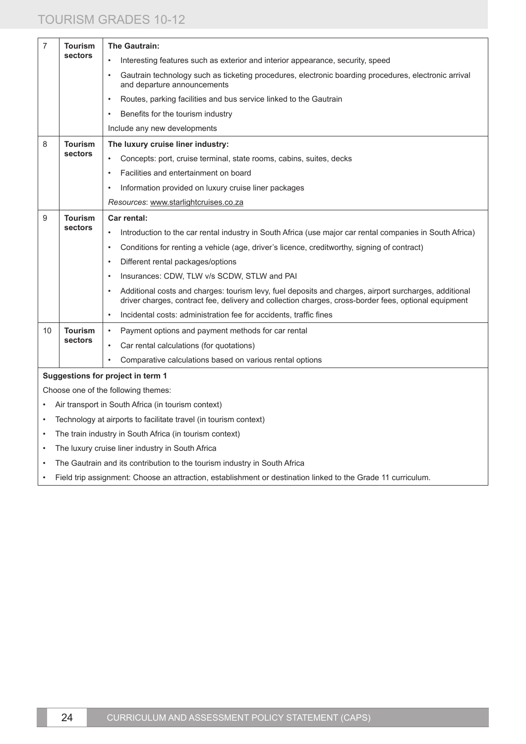| $\overline{7}$                     | <b>Tourism</b><br>sectors           | The Gautrain:                                                                                                                                                                                                              |  |  |
|------------------------------------|-------------------------------------|----------------------------------------------------------------------------------------------------------------------------------------------------------------------------------------------------------------------------|--|--|
|                                    |                                     | Interesting features such as exterior and interior appearance, security, speed<br>$\bullet$                                                                                                                                |  |  |
|                                    |                                     | Gautrain technology such as ticketing procedures, electronic boarding procedures, electronic arrival<br>$\bullet$<br>and departure announcements                                                                           |  |  |
|                                    |                                     | Routes, parking facilities and bus service linked to the Gautrain<br>$\bullet$                                                                                                                                             |  |  |
|                                    |                                     | Benefits for the tourism industry<br>$\bullet$                                                                                                                                                                             |  |  |
|                                    |                                     | Include any new developments                                                                                                                                                                                               |  |  |
| 8                                  | <b>Tourism</b>                      | The luxury cruise liner industry:                                                                                                                                                                                          |  |  |
|                                    | sectors                             | Concepts: port, cruise terminal, state rooms, cabins, suites, decks<br>$\bullet$                                                                                                                                           |  |  |
|                                    |                                     | Facilities and entertainment on board<br>$\bullet$                                                                                                                                                                         |  |  |
|                                    |                                     | Information provided on luxury cruise liner packages<br>$\bullet$                                                                                                                                                          |  |  |
|                                    |                                     | Resources: www.starlightcruises.co.za                                                                                                                                                                                      |  |  |
| <b>Tourism</b><br>Car rental:<br>9 |                                     |                                                                                                                                                                                                                            |  |  |
|                                    | sectors                             | Introduction to the car rental industry in South Africa (use major car rental companies in South Africa)<br>$\bullet$                                                                                                      |  |  |
|                                    |                                     | Conditions for renting a vehicle (age, driver's licence, creditworthy, signing of contract)<br>$\bullet$                                                                                                                   |  |  |
|                                    |                                     | Different rental packages/options<br>$\bullet$                                                                                                                                                                             |  |  |
|                                    |                                     | Insurances: CDW, TLW v/s SCDW, STLW and PAI<br>$\bullet$                                                                                                                                                                   |  |  |
|                                    |                                     | Additional costs and charges: tourism levy, fuel deposits and charges, airport surcharges, additional<br>$\bullet$<br>driver charges, contract fee, delivery and collection charges, cross-border fees, optional equipment |  |  |
|                                    |                                     | Incidental costs: administration fee for accidents, traffic fines<br>$\bullet$                                                                                                                                             |  |  |
| 10                                 | <b>Tourism</b>                      | Payment options and payment methods for car rental<br>$\bullet$                                                                                                                                                            |  |  |
|                                    | sectors                             | Car rental calculations (for quotations)<br>$\bullet$                                                                                                                                                                      |  |  |
|                                    |                                     | Comparative calculations based on various rental options<br>$\bullet$                                                                                                                                                      |  |  |
|                                    |                                     | Suggestions for project in term 1                                                                                                                                                                                          |  |  |
|                                    | Choose one of the following themes: |                                                                                                                                                                                                                            |  |  |
|                                    |                                     | Air transport in South Africa (in tourism context)                                                                                                                                                                         |  |  |
|                                    |                                     | Technology at airports to facilitate travel (in tourism context)                                                                                                                                                           |  |  |
|                                    |                                     |                                                                                                                                                                                                                            |  |  |

- • The train industry in South Africa (in tourism context)
- • The luxury cruise liner industry in South Africa
- The Gautrain and its contribution to the tourism industry in South Africa
- • Field trip assignment: Choose an attraction, establishment or destination linked to the Grade 11 curriculum.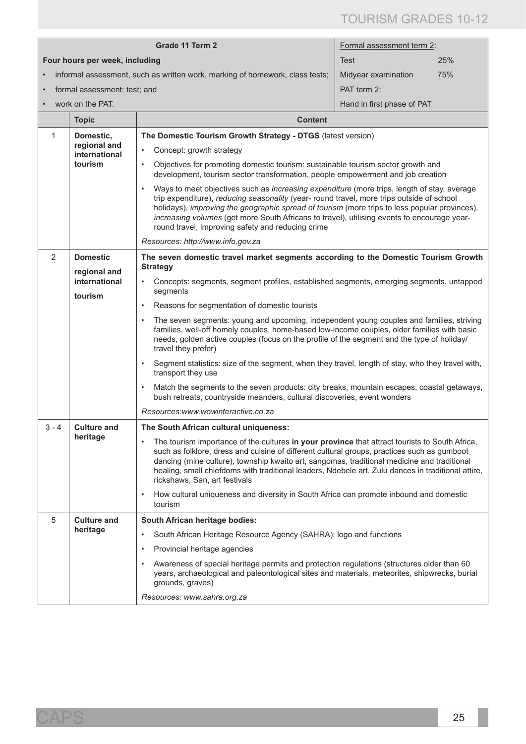| Grade 11 Term 2                                                                                                                                                                                                                                                                                                                                                                                                                                 |                               |                                                                                                                                                                                                                                                                                                                                                                                                                                                            | Formal assessment term 2:  |  |
|-------------------------------------------------------------------------------------------------------------------------------------------------------------------------------------------------------------------------------------------------------------------------------------------------------------------------------------------------------------------------------------------------------------------------------------------------|-------------------------------|------------------------------------------------------------------------------------------------------------------------------------------------------------------------------------------------------------------------------------------------------------------------------------------------------------------------------------------------------------------------------------------------------------------------------------------------------------|----------------------------|--|
| Four hours per week, including                                                                                                                                                                                                                                                                                                                                                                                                                  |                               |                                                                                                                                                                                                                                                                                                                                                                                                                                                            | <b>Test</b><br>25%         |  |
| informal assessment, such as written work, marking of homework, class tests;                                                                                                                                                                                                                                                                                                                                                                    |                               |                                                                                                                                                                                                                                                                                                                                                                                                                                                            | 75%<br>Midyear examination |  |
| formal assessment: test; and                                                                                                                                                                                                                                                                                                                                                                                                                    |                               |                                                                                                                                                                                                                                                                                                                                                                                                                                                            | PAT term 2:                |  |
|                                                                                                                                                                                                                                                                                                                                                                                                                                                 | work on the PAT.              |                                                                                                                                                                                                                                                                                                                                                                                                                                                            | Hand in first phase of PAT |  |
|                                                                                                                                                                                                                                                                                                                                                                                                                                                 | <b>Topic</b>                  | <b>Content</b>                                                                                                                                                                                                                                                                                                                                                                                                                                             |                            |  |
| 1                                                                                                                                                                                                                                                                                                                                                                                                                                               | Domestic,                     | The Domestic Tourism Growth Strategy - DTGS (latest version)                                                                                                                                                                                                                                                                                                                                                                                               |                            |  |
|                                                                                                                                                                                                                                                                                                                                                                                                                                                 | regional and<br>international | Concept: growth strategy<br>$\bullet$                                                                                                                                                                                                                                                                                                                                                                                                                      |                            |  |
|                                                                                                                                                                                                                                                                                                                                                                                                                                                 | tourism                       | Objectives for promoting domestic tourism: sustainable tourism sector growth and<br>$\bullet$<br>development, tourism sector transformation, people empowerment and job creation                                                                                                                                                                                                                                                                           |                            |  |
|                                                                                                                                                                                                                                                                                                                                                                                                                                                 |                               | Ways to meet objectives such as increasing expenditure (more trips, length of stay, average<br>$\bullet$<br>trip expenditure), reducing seasonality (year- round travel, more trips outside of school<br>holidays), improving the geographic spread of tourism (more trips to less popular provinces),<br>increasing volumes (get more South Africans to travel), utilising events to encourage year-<br>round travel, improving safety and reducing crime |                            |  |
|                                                                                                                                                                                                                                                                                                                                                                                                                                                 |                               | Resources: http://www.info.gov.za                                                                                                                                                                                                                                                                                                                                                                                                                          |                            |  |
| 2                                                                                                                                                                                                                                                                                                                                                                                                                                               | <b>Domestic</b>               | The seven domestic travel market segments according to the Domestic Tourism Growth                                                                                                                                                                                                                                                                                                                                                                         |                            |  |
|                                                                                                                                                                                                                                                                                                                                                                                                                                                 | regional and<br>international | <b>Strategy</b>                                                                                                                                                                                                                                                                                                                                                                                                                                            |                            |  |
|                                                                                                                                                                                                                                                                                                                                                                                                                                                 | tourism                       | Concepts: segments, segment profiles, established segments, emerging segments, untapped<br>$\bullet$<br>segments                                                                                                                                                                                                                                                                                                                                           |                            |  |
|                                                                                                                                                                                                                                                                                                                                                                                                                                                 |                               | Reasons for segmentation of domestic tourists<br>$\bullet$                                                                                                                                                                                                                                                                                                                                                                                                 |                            |  |
| $\bullet$                                                                                                                                                                                                                                                                                                                                                                                                                                       |                               | The seven segments: young and upcoming, independent young couples and families, striving<br>families, well-off homely couples, home-based low-income couples, older families with basic<br>needs, golden active couples (focus on the profile of the segment and the type of holiday/<br>travel they prefer)                                                                                                                                               |                            |  |
|                                                                                                                                                                                                                                                                                                                                                                                                                                                 |                               | Segment statistics: size of the segment, when they travel, length of stay, who they travel with,<br>$\bullet$<br>transport they use                                                                                                                                                                                                                                                                                                                        |                            |  |
|                                                                                                                                                                                                                                                                                                                                                                                                                                                 |                               | Match the segments to the seven products: city breaks, mountain escapes, coastal getaways,<br>$\bullet$<br>bush retreats, countryside meanders, cultural discoveries, event wonders                                                                                                                                                                                                                                                                        |                            |  |
|                                                                                                                                                                                                                                                                                                                                                                                                                                                 |                               | Resources: www.wowinteractive.co.za                                                                                                                                                                                                                                                                                                                                                                                                                        |                            |  |
| 3 - 4                                                                                                                                                                                                                                                                                                                                                                                                                                           | <b>Culture and</b>            | The South African cultural uniqueness:                                                                                                                                                                                                                                                                                                                                                                                                                     |                            |  |
| heritage<br>The tourism importance of the cultures in your province that attract tourists to South Africa,<br>such as folklore, dress and cuisine of different cultural groups, practices such as gumboot<br>dancing (mine culture), township kwaito art, sangomas, traditional medicine and traditional<br>healing, small chiefdoms with traditional leaders, Ndebele art, Zulu dances in traditional attire,<br>rickshaws, San, art festivals |                               |                                                                                                                                                                                                                                                                                                                                                                                                                                                            |                            |  |
|                                                                                                                                                                                                                                                                                                                                                                                                                                                 |                               | How cultural uniqueness and diversity in South Africa can promote inbound and domestic<br>$\bullet$<br>tourism                                                                                                                                                                                                                                                                                                                                             |                            |  |
| 5                                                                                                                                                                                                                                                                                                                                                                                                                                               | <b>Culture and</b>            | South African heritage bodies:                                                                                                                                                                                                                                                                                                                                                                                                                             |                            |  |
|                                                                                                                                                                                                                                                                                                                                                                                                                                                 | heritage                      | South African Heritage Resource Agency (SAHRA): logo and functions<br>$\bullet$                                                                                                                                                                                                                                                                                                                                                                            |                            |  |
|                                                                                                                                                                                                                                                                                                                                                                                                                                                 |                               | Provincial heritage agencies<br>$\bullet$                                                                                                                                                                                                                                                                                                                                                                                                                  |                            |  |
|                                                                                                                                                                                                                                                                                                                                                                                                                                                 |                               | Awareness of special heritage permits and protection regulations (structures older than 60<br>$\bullet$<br>years, archaeological and paleontological sites and materials, meteorites, shipwrecks, burial<br>grounds, graves)                                                                                                                                                                                                                               |                            |  |
|                                                                                                                                                                                                                                                                                                                                                                                                                                                 |                               | Resources: www.sahra.org.za                                                                                                                                                                                                                                                                                                                                                                                                                                |                            |  |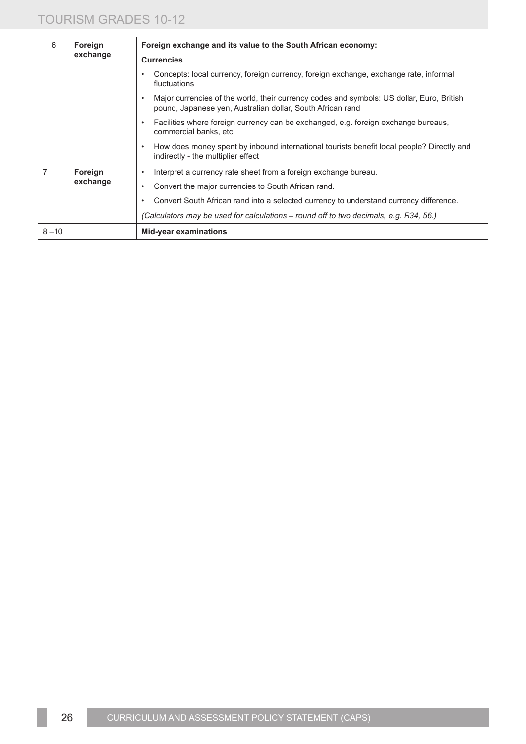| 6                                                                                                 | Foreign<br>exchange | Foreign exchange and its value to the South African economy:                                                                                 |  |
|---------------------------------------------------------------------------------------------------|---------------------|----------------------------------------------------------------------------------------------------------------------------------------------|--|
|                                                                                                   |                     | <b>Currencies</b>                                                                                                                            |  |
|                                                                                                   |                     | Concepts: local currency, foreign currency, foreign exchange, exchange rate, informal<br>٠<br>fluctuations                                   |  |
| pound, Japanese yen, Australian dollar, South African rand<br>$\bullet$<br>commercial banks, etc. |                     | Major currencies of the world, their currency codes and symbols: US dollar, Euro, British                                                    |  |
|                                                                                                   |                     | Facilities where foreign currency can be exchanged, e.g. foreign exchange bureaus,                                                           |  |
|                                                                                                   |                     | How does money spent by inbound international tourists benefit local people? Directly and<br>$\bullet$<br>indirectly - the multiplier effect |  |
| $\overline{7}$<br>Foreign<br>٠                                                                    |                     | Interpret a currency rate sheet from a foreign exchange bureau.                                                                              |  |
|                                                                                                   | exchange            | Convert the major currencies to South African rand.<br>٠                                                                                     |  |
|                                                                                                   |                     | Convert South African rand into a selected currency to understand currency difference.<br>٠                                                  |  |
|                                                                                                   |                     | (Calculators may be used for calculations – round off to two decimals, e.g. R34, 56.)                                                        |  |
| $8 - 10$                                                                                          |                     | Mid-year examinations                                                                                                                        |  |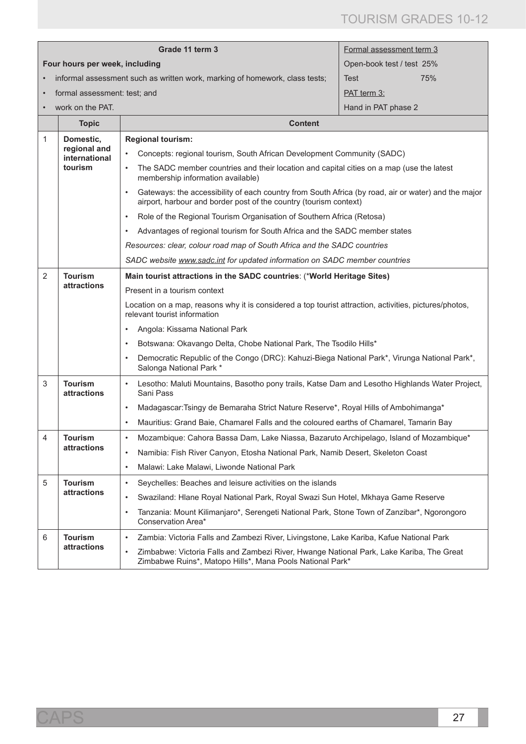| Grade 11 term 3<br>Formal assessment term 3                              |                                                                                                                                                                           |                                                                                                                                                                                                                                                                                                                                                                                                                                                                                                                    |                           |  |
|--------------------------------------------------------------------------|---------------------------------------------------------------------------------------------------------------------------------------------------------------------------|--------------------------------------------------------------------------------------------------------------------------------------------------------------------------------------------------------------------------------------------------------------------------------------------------------------------------------------------------------------------------------------------------------------------------------------------------------------------------------------------------------------------|---------------------------|--|
|                                                                          | Four hours per week, including                                                                                                                                            |                                                                                                                                                                                                                                                                                                                                                                                                                                                                                                                    | Open-book test / test 25% |  |
|                                                                          |                                                                                                                                                                           | informal assessment such as written work, marking of homework, class tests;                                                                                                                                                                                                                                                                                                                                                                                                                                        | 75%<br>Test               |  |
|                                                                          | formal assessment: test; and                                                                                                                                              |                                                                                                                                                                                                                                                                                                                                                                                                                                                                                                                    | PAT term 3:               |  |
|                                                                          | work on the PAT.                                                                                                                                                          |                                                                                                                                                                                                                                                                                                                                                                                                                                                                                                                    | Hand in PAT phase 2       |  |
|                                                                          | <b>Topic</b>                                                                                                                                                              | <b>Content</b>                                                                                                                                                                                                                                                                                                                                                                                                                                                                                                     |                           |  |
| 1                                                                        | Domestic,<br>regional and<br>international<br>tourism                                                                                                                     | <b>Regional tourism:</b><br>Concepts: regional tourism, South African Development Community (SADC)<br>The SADC member countries and their location and capital cities on a map (use the latest<br>membership information available)<br>Gateways: the accessibility of each country from South Africa (by road, air or water) and the major<br>$\bullet$<br>airport, harbour and border post of the country (tourism context)<br>Role of the Regional Tourism Organisation of Southern Africa (Retosa)<br>$\bullet$ |                           |  |
|                                                                          |                                                                                                                                                                           | Advantages of regional tourism for South Africa and the SADC member states                                                                                                                                                                                                                                                                                                                                                                                                                                         |                           |  |
| Resources: clear, colour road map of South Africa and the SADC countries |                                                                                                                                                                           |                                                                                                                                                                                                                                                                                                                                                                                                                                                                                                                    |                           |  |
|                                                                          |                                                                                                                                                                           | SADC website www.sadc.int for updated information on SADC member countries                                                                                                                                                                                                                                                                                                                                                                                                                                         |                           |  |
| 2                                                                        | <b>Tourism</b><br><i>attractions</i>                                                                                                                                      | Main tourist attractions in the SADC countries: (*World Heritage Sites)                                                                                                                                                                                                                                                                                                                                                                                                                                            |                           |  |
|                                                                          |                                                                                                                                                                           | Present in a tourism context                                                                                                                                                                                                                                                                                                                                                                                                                                                                                       |                           |  |
|                                                                          |                                                                                                                                                                           | Location on a map, reasons why it is considered a top tourist attraction, activities, pictures/photos,<br>relevant tourist information                                                                                                                                                                                                                                                                                                                                                                             |                           |  |
|                                                                          |                                                                                                                                                                           | Angola: Kissama National Park                                                                                                                                                                                                                                                                                                                                                                                                                                                                                      |                           |  |
|                                                                          |                                                                                                                                                                           | Botswana: Okavango Delta, Chobe National Park, The Tsodilo Hills*<br>٠                                                                                                                                                                                                                                                                                                                                                                                                                                             |                           |  |
| Salonga National Park *                                                  |                                                                                                                                                                           | Democratic Republic of the Congo (DRC): Kahuzi-Biega National Park*, Virunga National Park*,                                                                                                                                                                                                                                                                                                                                                                                                                       |                           |  |
| 3                                                                        | <b>Tourism</b><br><b>attractions</b>                                                                                                                                      | Lesotho: Maluti Mountains, Basotho pony trails, Katse Dam and Lesotho Highlands Water Project,<br>$\bullet$<br>Sani Pass                                                                                                                                                                                                                                                                                                                                                                                           |                           |  |
|                                                                          |                                                                                                                                                                           | Madagascar: Tsingy de Bemaraha Strict Nature Reserve*, Royal Hills of Ambohimanga*<br>$\bullet$                                                                                                                                                                                                                                                                                                                                                                                                                    |                           |  |
|                                                                          |                                                                                                                                                                           | Mauritius: Grand Baie, Chamarel Falls and the coloured earths of Chamarel, Tamarin Bay<br>$\bullet$                                                                                                                                                                                                                                                                                                                                                                                                                |                           |  |
| 4                                                                        | Tourism                                                                                                                                                                   | Mozambique: Cahora Bassa Dam, Lake Niassa, Bazaruto Archipelago, Island of Mozambique*<br>$\bullet$                                                                                                                                                                                                                                                                                                                                                                                                                |                           |  |
|                                                                          | attractions                                                                                                                                                               | Namibia: Fish River Canyon, Etosha National Park, Namib Desert, Skeleton Coast<br>$\bullet$                                                                                                                                                                                                                                                                                                                                                                                                                        |                           |  |
|                                                                          |                                                                                                                                                                           | Malawi: Lake Malawi, Liwonde National Park<br>$\bullet$                                                                                                                                                                                                                                                                                                                                                                                                                                                            |                           |  |
| 5                                                                        | <b>Tourism</b>                                                                                                                                                            | Seychelles: Beaches and leisure activities on the islands<br>٠                                                                                                                                                                                                                                                                                                                                                                                                                                                     |                           |  |
|                                                                          | <b>attractions</b>                                                                                                                                                        | Swaziland: Hlane Royal National Park, Royal Swazi Sun Hotel, Mkhaya Game Reserve<br>$\bullet$                                                                                                                                                                                                                                                                                                                                                                                                                      |                           |  |
|                                                                          |                                                                                                                                                                           | Tanzania: Mount Kilimanjaro*, Serengeti National Park, Stone Town of Zanzibar*, Ngorongoro<br>٠<br>Conservation Area*                                                                                                                                                                                                                                                                                                                                                                                              |                           |  |
| 6                                                                        | <b>Tourism</b>                                                                                                                                                            | Zambia: Victoria Falls and Zambezi River, Livingstone, Lake Kariba, Kafue National Park<br>$\bullet$                                                                                                                                                                                                                                                                                                                                                                                                               |                           |  |
|                                                                          | attractions<br>Zimbabwe: Victoria Falls and Zambezi River, Hwange National Park, Lake Kariba, The Great<br>٠<br>Zimbabwe Ruins*, Matopo Hills*, Mana Pools National Park* |                                                                                                                                                                                                                                                                                                                                                                                                                                                                                                                    |                           |  |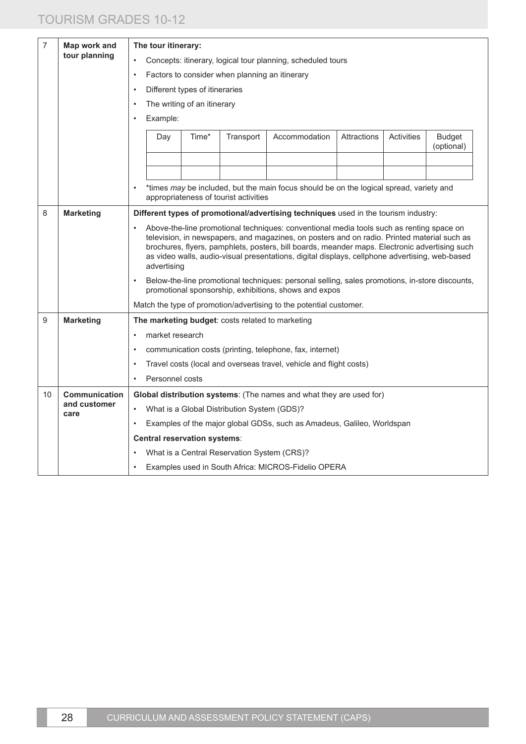| $\overline{7}$ | Map work and         | The tour itinerary:                                                                                                                                                                                                                                                                                                                                                                                       |  |  |  |  |  |  |  |
|----------------|----------------------|-----------------------------------------------------------------------------------------------------------------------------------------------------------------------------------------------------------------------------------------------------------------------------------------------------------------------------------------------------------------------------------------------------------|--|--|--|--|--|--|--|
|                | tour planning        | Concepts: itinerary, logical tour planning, scheduled tours<br>$\bullet$                                                                                                                                                                                                                                                                                                                                  |  |  |  |  |  |  |  |
|                |                      | Factors to consider when planning an itinerary<br>$\bullet$                                                                                                                                                                                                                                                                                                                                               |  |  |  |  |  |  |  |
|                |                      | Different types of itineraries<br>$\bullet$                                                                                                                                                                                                                                                                                                                                                               |  |  |  |  |  |  |  |
|                |                      | The writing of an itinerary<br>$\bullet$                                                                                                                                                                                                                                                                                                                                                                  |  |  |  |  |  |  |  |
|                |                      | Example:<br>$\bullet$                                                                                                                                                                                                                                                                                                                                                                                     |  |  |  |  |  |  |  |
|                |                      | Day<br>Time*<br>Transport<br>Accommodation<br>Attractions<br>Activities<br><b>Budget</b><br>(optional)                                                                                                                                                                                                                                                                                                    |  |  |  |  |  |  |  |
|                |                      |                                                                                                                                                                                                                                                                                                                                                                                                           |  |  |  |  |  |  |  |
|                |                      |                                                                                                                                                                                                                                                                                                                                                                                                           |  |  |  |  |  |  |  |
|                |                      | *times may be included, but the main focus should be on the logical spread, variety and<br>appropriateness of tourist activities                                                                                                                                                                                                                                                                          |  |  |  |  |  |  |  |
| 8              | <b>Marketing</b>     | Different types of promotional/advertising techniques used in the tourism industry:                                                                                                                                                                                                                                                                                                                       |  |  |  |  |  |  |  |
|                |                      | Above-the-line promotional techniques: conventional media tools such as renting space on<br>television, in newspapers, and magazines, on posters and on radio. Printed material such as<br>brochures, flyers, pamphlets, posters, bill boards, meander maps. Electronic advertising such<br>as video walls, audio-visual presentations, digital displays, cellphone advertising, web-based<br>advertising |  |  |  |  |  |  |  |
|                |                      | Below-the-line promotional techniques: personal selling, sales promotions, in-store discounts,<br>$\bullet$<br>promotional sponsorship, exhibitions, shows and expos                                                                                                                                                                                                                                      |  |  |  |  |  |  |  |
|                |                      | Match the type of promotion/advertising to the potential customer.                                                                                                                                                                                                                                                                                                                                        |  |  |  |  |  |  |  |
| 9              | <b>Marketing</b>     | The marketing budget: costs related to marketing                                                                                                                                                                                                                                                                                                                                                          |  |  |  |  |  |  |  |
|                |                      | market research<br>$\bullet$                                                                                                                                                                                                                                                                                                                                                                              |  |  |  |  |  |  |  |
|                |                      | communication costs (printing, telephone, fax, internet)<br>٠                                                                                                                                                                                                                                                                                                                                             |  |  |  |  |  |  |  |
|                |                      | Travel costs (local and overseas travel, vehicle and flight costs)<br>$\bullet$                                                                                                                                                                                                                                                                                                                           |  |  |  |  |  |  |  |
|                |                      | Personnel costs<br>$\bullet$                                                                                                                                                                                                                                                                                                                                                                              |  |  |  |  |  |  |  |
| 10             | <b>Communication</b> | Global distribution systems: (The names and what they are used for)                                                                                                                                                                                                                                                                                                                                       |  |  |  |  |  |  |  |
|                | and customer<br>care | What is a Global Distribution System (GDS)?<br>$\bullet$                                                                                                                                                                                                                                                                                                                                                  |  |  |  |  |  |  |  |
|                |                      | Examples of the major global GDSs, such as Amadeus, Galileo, Worldspan<br>٠                                                                                                                                                                                                                                                                                                                               |  |  |  |  |  |  |  |
|                |                      | Central reservation systems:                                                                                                                                                                                                                                                                                                                                                                              |  |  |  |  |  |  |  |
|                |                      | What is a Central Reservation System (CRS)?                                                                                                                                                                                                                                                                                                                                                               |  |  |  |  |  |  |  |
|                |                      | Examples used in South Africa: MICROS-Fidelio OPERA                                                                                                                                                                                                                                                                                                                                                       |  |  |  |  |  |  |  |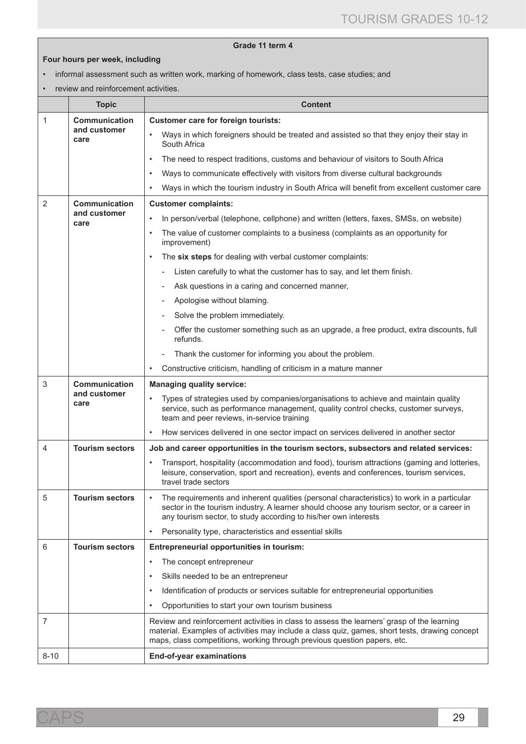#### **Four hours per week, including**

### **Grade 11 term 4**

- • informal assessment such as written work, marking of homework, class tests, case studies; and
- • review and reinforcement activities.

|                      | <b>Topic</b>           | <b>Content</b>                                                                                                                                                                                                                                                           |  |  |  |
|----------------------|------------------------|--------------------------------------------------------------------------------------------------------------------------------------------------------------------------------------------------------------------------------------------------------------------------|--|--|--|
| 1                    | <b>Communication</b>   | <b>Customer care for foreign tourists:</b>                                                                                                                                                                                                                               |  |  |  |
|                      | and customer<br>care   | Ways in which foreigners should be treated and assisted so that they enjoy their stay in<br>South Africa                                                                                                                                                                 |  |  |  |
|                      |                        | The need to respect traditions, customs and behaviour of visitors to South Africa                                                                                                                                                                                        |  |  |  |
|                      |                        | Ways to communicate effectively with visitors from diverse cultural backgrounds                                                                                                                                                                                          |  |  |  |
|                      |                        | Ways in which the tourism industry in South Africa will benefit from excellent customer care                                                                                                                                                                             |  |  |  |
| 2                    | <b>Communication</b>   | <b>Customer complaints:</b>                                                                                                                                                                                                                                              |  |  |  |
|                      | and customer<br>care   | In person/verbal (telephone, cellphone) and written (letters, faxes, SMSs, on website)<br>$\bullet$                                                                                                                                                                      |  |  |  |
|                      |                        | The value of customer complaints to a business (complaints as an opportunity for<br>improvement)                                                                                                                                                                         |  |  |  |
|                      |                        | The six steps for dealing with verbal customer complaints:<br>$\bullet$                                                                                                                                                                                                  |  |  |  |
|                      |                        | Listen carefully to what the customer has to say, and let them finish.                                                                                                                                                                                                   |  |  |  |
|                      |                        | Ask questions in a caring and concerned manner,                                                                                                                                                                                                                          |  |  |  |
|                      |                        | Apologise without blaming.                                                                                                                                                                                                                                               |  |  |  |
|                      |                        | Solve the problem immediately.                                                                                                                                                                                                                                           |  |  |  |
|                      |                        | Offer the customer something such as an upgrade, a free product, extra discounts, full<br>refunds.                                                                                                                                                                       |  |  |  |
|                      |                        | Thank the customer for informing you about the problem.                                                                                                                                                                                                                  |  |  |  |
|                      |                        | Constructive criticism, handling of criticism in a mature manner<br>$\bullet$                                                                                                                                                                                            |  |  |  |
| 3                    | <b>Communication</b>   | <b>Managing quality service:</b>                                                                                                                                                                                                                                         |  |  |  |
| and customer<br>care |                        | Types of strategies used by companies/organisations to achieve and maintain quality<br>$\bullet$<br>service, such as performance management, quality control checks, customer surveys,<br>team and peer reviews, in-service training                                     |  |  |  |
|                      |                        | How services delivered in one sector impact on services delivered in another sector<br>$\bullet$                                                                                                                                                                         |  |  |  |
| 4                    | <b>Tourism sectors</b> | Job and career opportunities in the tourism sectors, subsectors and related services:                                                                                                                                                                                    |  |  |  |
|                      |                        | Transport, hospitality (accommodation and food), tourism attractions (gaming and lotteries,<br>$\bullet$<br>leisure, conservation, sport and recreation), events and conferences, tourism services,<br>travel trade sectors                                              |  |  |  |
| 5                    | <b>Tourism sectors</b> | The requirements and inherent qualities (personal characteristics) to work in a particular<br>sector in the tourism industry. A learner should choose any tourism sector, or a career in<br>any tourism sector, to study according to his/her own interests              |  |  |  |
|                      |                        | Personality type, characteristics and essential skills<br>$\bullet$                                                                                                                                                                                                      |  |  |  |
| 6                    | <b>Tourism sectors</b> | Entrepreneurial opportunities in tourism:                                                                                                                                                                                                                                |  |  |  |
|                      |                        | The concept entrepreneur<br>$\bullet$                                                                                                                                                                                                                                    |  |  |  |
|                      |                        | Skills needed to be an entrepreneur                                                                                                                                                                                                                                      |  |  |  |
|                      |                        | Identification of products or services suitable for entrepreneurial opportunities<br>$\bullet$                                                                                                                                                                           |  |  |  |
|                      |                        | Opportunities to start your own tourism business<br>$\bullet$                                                                                                                                                                                                            |  |  |  |
| 7                    |                        | Review and reinforcement activities in class to assess the learners' grasp of the learning<br>material. Examples of activities may include a class quiz, games, short tests, drawing concept<br>maps, class competitions, working through previous question papers, etc. |  |  |  |
| $8 - 10$             |                        | <b>End-of-year examinations</b>                                                                                                                                                                                                                                          |  |  |  |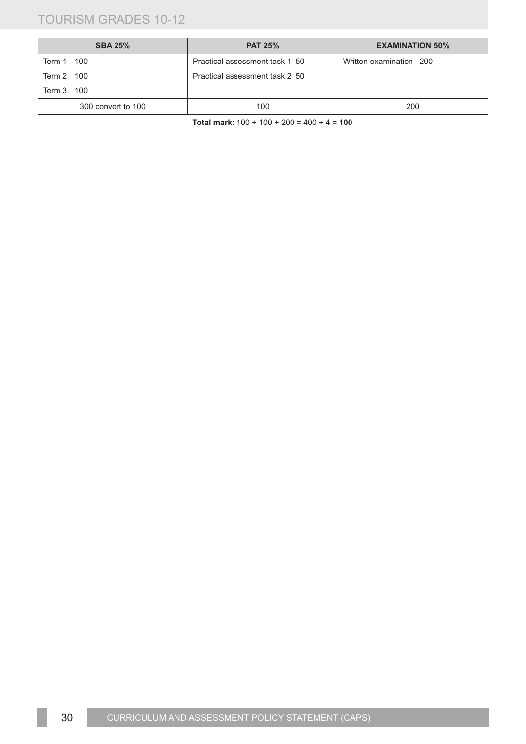| <b>SBA 25%</b>                                   | <b>PAT 25%</b>                 | <b>EXAMINATION 50%</b>  |  |  |  |
|--------------------------------------------------|--------------------------------|-------------------------|--|--|--|
| Term 1 100                                       | Practical assessment task 1 50 | Written examination 200 |  |  |  |
| Term 2 100                                       | Practical assessment task 2 50 |                         |  |  |  |
| Term 3 100                                       |                                |                         |  |  |  |
| 300 convert to 100                               | 100                            | 200                     |  |  |  |
| Total mark: $100 + 100 + 200 = 400 \div 4 = 100$ |                                |                         |  |  |  |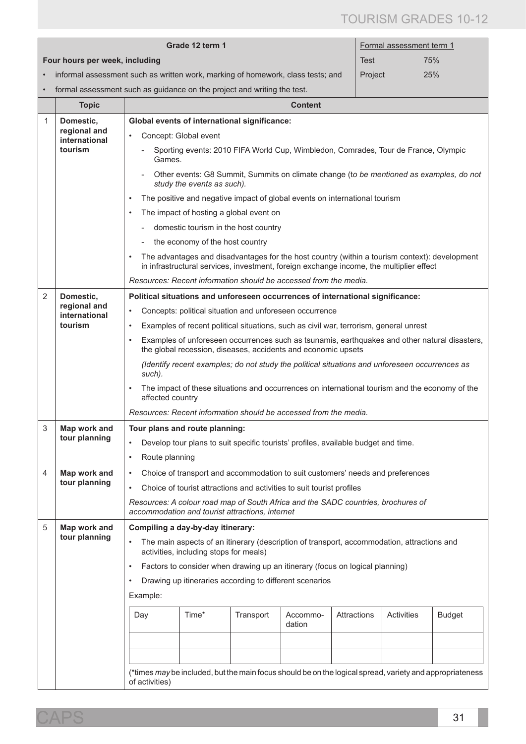| Grade 12 term 1                                                                                                                 |                                                                                 |                                                                                                                                                                             |                                 |                                         |                                                                                                                                                                                          |             | Formal assessment term 1 |            |                                                                                                          |
|---------------------------------------------------------------------------------------------------------------------------------|---------------------------------------------------------------------------------|-----------------------------------------------------------------------------------------------------------------------------------------------------------------------------|---------------------------------|-----------------------------------------|------------------------------------------------------------------------------------------------------------------------------------------------------------------------------------------|-------------|--------------------------|------------|----------------------------------------------------------------------------------------------------------|
|                                                                                                                                 | Four hours per week, including                                                  |                                                                                                                                                                             |                                 |                                         |                                                                                                                                                                                          |             | <b>Test</b>              |            | 75%                                                                                                      |
|                                                                                                                                 | informal assessment such as written work, marking of homework, class tests; and |                                                                                                                                                                             |                                 |                                         |                                                                                                                                                                                          |             | Project                  |            | 25%                                                                                                      |
|                                                                                                                                 | formal assessment such as guidance on the project and writing the test.         |                                                                                                                                                                             |                                 |                                         |                                                                                                                                                                                          |             |                          |            |                                                                                                          |
|                                                                                                                                 | <b>Topic</b>                                                                    | <b>Content</b>                                                                                                                                                              |                                 |                                         |                                                                                                                                                                                          |             |                          |            |                                                                                                          |
| 1                                                                                                                               | Domestic,                                                                       | <b>Global events of international significance:</b>                                                                                                                         |                                 |                                         |                                                                                                                                                                                          |             |                          |            |                                                                                                          |
|                                                                                                                                 | regional and<br>international                                                   | Concept: Global event                                                                                                                                                       |                                 |                                         |                                                                                                                                                                                          |             |                          |            |                                                                                                          |
|                                                                                                                                 | tourism                                                                         | Games.                                                                                                                                                                      |                                 |                                         | Sporting events: 2010 FIFA World Cup, Wimbledon, Comrades, Tour de France, Olympic                                                                                                       |             |                          |            |                                                                                                          |
|                                                                                                                                 |                                                                                 |                                                                                                                                                                             | study the events as such).      |                                         |                                                                                                                                                                                          |             |                          |            | Other events: G8 Summit, Summits on climate change (to be mentioned as examples, do not                  |
|                                                                                                                                 |                                                                                 | $\bullet$                                                                                                                                                                   |                                 |                                         | The positive and negative impact of global events on international tourism                                                                                                               |             |                          |            |                                                                                                          |
|                                                                                                                                 |                                                                                 | $\bullet$                                                                                                                                                                   |                                 | The impact of hosting a global event on |                                                                                                                                                                                          |             |                          |            |                                                                                                          |
|                                                                                                                                 |                                                                                 | $\overline{\phantom{a}}$                                                                                                                                                    |                                 | domestic tourism in the host country    |                                                                                                                                                                                          |             |                          |            |                                                                                                          |
|                                                                                                                                 |                                                                                 |                                                                                                                                                                             | the economy of the host country |                                         |                                                                                                                                                                                          |             |                          |            |                                                                                                          |
|                                                                                                                                 |                                                                                 | $\bullet$                                                                                                                                                                   |                                 |                                         | The advantages and disadvantages for the host country (within a tourism context): development<br>in infrastructural services, investment, foreign exchange income, the multiplier effect |             |                          |            |                                                                                                          |
|                                                                                                                                 |                                                                                 |                                                                                                                                                                             |                                 |                                         | Resources: Recent information should be accessed from the media.                                                                                                                         |             |                          |            |                                                                                                          |
| $\overline{2}$                                                                                                                  | Domestic,                                                                       |                                                                                                                                                                             |                                 |                                         | Political situations and unforeseen occurrences of international significance:                                                                                                           |             |                          |            |                                                                                                          |
|                                                                                                                                 | regional and<br>international                                                   | Concepts: political situation and unforeseen occurrence<br>$\bullet$                                                                                                        |                                 |                                         |                                                                                                                                                                                          |             |                          |            |                                                                                                          |
|                                                                                                                                 | tourism                                                                         | Examples of recent political situations, such as civil war, terrorism, general unrest<br>$\bullet$                                                                          |                                 |                                         |                                                                                                                                                                                          |             |                          |            |                                                                                                          |
|                                                                                                                                 |                                                                                 | Examples of unforeseen occurrences such as tsunamis, earthquakes and other natural disasters,<br>$\bullet$<br>the global recession, diseases, accidents and economic upsets |                                 |                                         |                                                                                                                                                                                          |             |                          |            |                                                                                                          |
|                                                                                                                                 |                                                                                 | (Identify recent examples; do not study the political situations and unforeseen occurrences as<br>such).                                                                    |                                 |                                         |                                                                                                                                                                                          |             |                          |            |                                                                                                          |
| The impact of these situations and occurrences on international tourism and the economy of the<br>$\bullet$<br>affected country |                                                                                 |                                                                                                                                                                             |                                 |                                         |                                                                                                                                                                                          |             |                          |            |                                                                                                          |
|                                                                                                                                 |                                                                                 | Resources: Recent information should be accessed from the media.                                                                                                            |                                 |                                         |                                                                                                                                                                                          |             |                          |            |                                                                                                          |
| 3                                                                                                                               | Map work and                                                                    | Tour plans and route planning:                                                                                                                                              |                                 |                                         |                                                                                                                                                                                          |             |                          |            |                                                                                                          |
|                                                                                                                                 | tour planning                                                                   | Develop tour plans to suit specific tourists' profiles, available budget and time.                                                                                          |                                 |                                         |                                                                                                                                                                                          |             |                          |            |                                                                                                          |
|                                                                                                                                 |                                                                                 | Route planning<br>$\bullet$                                                                                                                                                 |                                 |                                         |                                                                                                                                                                                          |             |                          |            |                                                                                                          |
| 4                                                                                                                               | Map work and                                                                    | $\bullet$                                                                                                                                                                   |                                 |                                         | Choice of transport and accommodation to suit customers' needs and preferences                                                                                                           |             |                          |            |                                                                                                          |
|                                                                                                                                 | tour planning                                                                   | $\bullet$                                                                                                                                                                   |                                 |                                         | Choice of tourist attractions and activities to suit tourist profiles                                                                                                                    |             |                          |            |                                                                                                          |
|                                                                                                                                 |                                                                                 | accommodation and tourist attractions, internet                                                                                                                             |                                 |                                         | Resources: A colour road map of South Africa and the SADC countries, brochures of                                                                                                        |             |                          |            |                                                                                                          |
| 5                                                                                                                               | Map work and                                                                    | Compiling a day-by-day itinerary:                                                                                                                                           |                                 |                                         |                                                                                                                                                                                          |             |                          |            |                                                                                                          |
|                                                                                                                                 | tour planning                                                                   | The main aspects of an itinerary (description of transport, accommodation, attractions and<br>$\bullet$<br>activities, including stops for meals)                           |                                 |                                         |                                                                                                                                                                                          |             |                          |            |                                                                                                          |
|                                                                                                                                 |                                                                                 | Factors to consider when drawing up an itinerary (focus on logical planning)<br>$\bullet$                                                                                   |                                 |                                         |                                                                                                                                                                                          |             |                          |            |                                                                                                          |
|                                                                                                                                 |                                                                                 | $\bullet$                                                                                                                                                                   |                                 |                                         | Drawing up itineraries according to different scenarios                                                                                                                                  |             |                          |            |                                                                                                          |
|                                                                                                                                 |                                                                                 | Example:                                                                                                                                                                    |                                 |                                         |                                                                                                                                                                                          |             |                          |            |                                                                                                          |
|                                                                                                                                 |                                                                                 | Day                                                                                                                                                                         | Time*                           | Transport                               | Accommo-<br>dation                                                                                                                                                                       | Attractions |                          | Activities | <b>Budget</b>                                                                                            |
|                                                                                                                                 |                                                                                 |                                                                                                                                                                             |                                 |                                         |                                                                                                                                                                                          |             |                          |            |                                                                                                          |
|                                                                                                                                 |                                                                                 |                                                                                                                                                                             |                                 |                                         |                                                                                                                                                                                          |             |                          |            |                                                                                                          |
|                                                                                                                                 |                                                                                 |                                                                                                                                                                             |                                 |                                         |                                                                                                                                                                                          |             |                          |            |                                                                                                          |
|                                                                                                                                 |                                                                                 | of activities)                                                                                                                                                              |                                 |                                         |                                                                                                                                                                                          |             |                          |            | (*times may be included, but the main focus should be on the logical spread, variety and appropriateness |

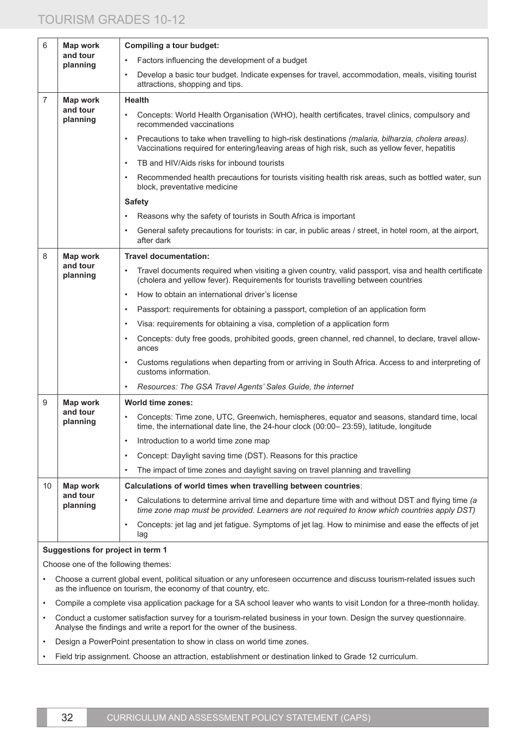| 6              | <b>Map work</b><br>and tour             | Compiling a tour budget:                                                                                                                                                                                       |  |  |  |  |
|----------------|-----------------------------------------|----------------------------------------------------------------------------------------------------------------------------------------------------------------------------------------------------------------|--|--|--|--|
|                | planning                                | Factors influencing the development of a budget<br>$\bullet$                                                                                                                                                   |  |  |  |  |
|                |                                         | Develop a basic tour budget. Indicate expenses for travel, accommodation, meals, visiting tourist<br>$\bullet$<br>attractions, shopping and tips.                                                              |  |  |  |  |
| $\overline{7}$ | <b>Map work</b>                         | <b>Health</b>                                                                                                                                                                                                  |  |  |  |  |
|                | and tour<br>planning                    | Concepts: World Health Organisation (WHO), health certificates, travel clinics, compulsory and<br>recommended vaccinations                                                                                     |  |  |  |  |
|                |                                         | Precautions to take when travelling to high-risk destinations (malaria, bilharzia, cholera areas).<br>Vaccinations required for entering/leaving areas of high risk, such as yellow fever, hepatitis           |  |  |  |  |
|                |                                         | TB and HIV/Aids risks for inbound tourists<br>$\bullet$                                                                                                                                                        |  |  |  |  |
|                |                                         | Recommended health precautions for tourists visiting health risk areas, such as bottled water, sun<br>٠<br>block, preventative medicine                                                                        |  |  |  |  |
|                |                                         | <b>Safety</b>                                                                                                                                                                                                  |  |  |  |  |
|                |                                         | Reasons why the safety of tourists in South Africa is important                                                                                                                                                |  |  |  |  |
|                |                                         | General safety precautions for tourists: in car, in public areas / street, in hotel room, at the airport,<br>after dark                                                                                        |  |  |  |  |
| 8              | <b>Map work</b>                         | <b>Travel documentation:</b>                                                                                                                                                                                   |  |  |  |  |
|                | and tour<br>planning                    | Travel documents required when visiting a given country, valid passport, visa and health certificate<br>$\bullet$<br>(cholera and yellow fever). Requirements for tourists travelling between countries        |  |  |  |  |
|                |                                         | How to obtain an international driver's license<br>$\bullet$                                                                                                                                                   |  |  |  |  |
|                |                                         | Passport: requirements for obtaining a passport, completion of an application form<br>٠                                                                                                                        |  |  |  |  |
|                |                                         | Visa: requirements for obtaining a visa, completion of a application form<br>$\bullet$                                                                                                                         |  |  |  |  |
|                |                                         | Concepts: duty free goods, prohibited goods, green channel, red channel, to declare, travel allow-<br>$\bullet$<br>ances                                                                                       |  |  |  |  |
|                |                                         | Customs regulations when departing from or arriving in South Africa. Access to and interpreting of<br>customs information.                                                                                     |  |  |  |  |
|                |                                         | Resources: The GSA Travel Agents' Sales Guide, the internet<br>$\bullet$                                                                                                                                       |  |  |  |  |
| 9              | <b>Map work</b><br>and tour<br>planning | <b>World time zones:</b>                                                                                                                                                                                       |  |  |  |  |
|                |                                         | Concepts: Time zone, UTC, Greenwich, hemispheres, equator and seasons, standard time, local<br>$\bullet$<br>time, the international date line, the 24-hour clock (00:00-23:59), latitude, longitude            |  |  |  |  |
|                |                                         | Introduction to a world time zone map<br>$\bullet$                                                                                                                                                             |  |  |  |  |
|                |                                         | Concept: Daylight saving time (DST). Reasons for this practice<br>$\bullet$                                                                                                                                    |  |  |  |  |
|                |                                         | The impact of time zones and daylight saving on travel planning and travelling<br>$\bullet$                                                                                                                    |  |  |  |  |
| 10             | Map work                                | Calculations of world times when travelling between countries:                                                                                                                                                 |  |  |  |  |
|                | and tour<br>planning                    | Calculations to determine arrival time and departure time with and without DST and flying time (a<br>$\bullet$<br>time zone map must be provided. Learners are not required to know which countries apply DST) |  |  |  |  |
|                |                                         | Concepts: jet lag and jet fatigue. Symptoms of jet lag. How to minimise and ease the effects of jet<br>$\bullet$<br>lag                                                                                        |  |  |  |  |
|                |                                         |                                                                                                                                                                                                                |  |  |  |  |

#### **Suggestions for project in term 1**

Choose one of the following themes:

- Choose a current global event, political situation or any unforeseen occurrence and discuss tourism-related issues such as the influence on tourism, the economy of that country, etc.
- • Compile a complete visa application package for a SA school leaver who wants to visit London for a three-month holiday.
- • Conduct a customer satisfaction survey for a tourism-related business in your town. Design the survey questionnaire. Analyse the findings and write a report for the owner of the business.
- • Design a PowerPoint presentation to show in class on world time zones.
- Field trip assignment. Choose an attraction, establishment or destination linked to Grade 12 curriculum.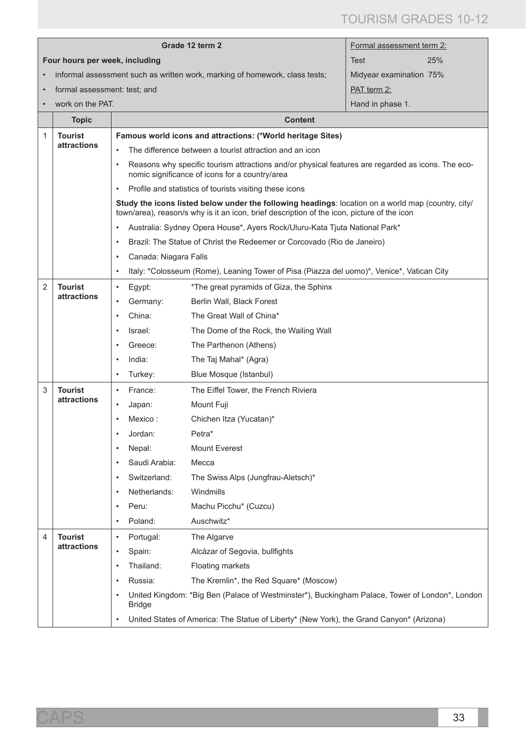|                                                                             |                                                                                | Grade 12 term 2                    | Formal assessment term 2:                                                                                                                                                                        |                         |  |  |  |  |
|-----------------------------------------------------------------------------|--------------------------------------------------------------------------------|------------------------------------|--------------------------------------------------------------------------------------------------------------------------------------------------------------------------------------------------|-------------------------|--|--|--|--|
|                                                                             | Four hours per week, including                                                 |                                    | <b>Test</b><br>25%                                                                                                                                                                               |                         |  |  |  |  |
| informal assessment such as written work, marking of homework, class tests; |                                                                                |                                    |                                                                                                                                                                                                  | Midyear examination 75% |  |  |  |  |
|                                                                             | formal assessment: test; and                                                   |                                    |                                                                                                                                                                                                  | PAT term 2:             |  |  |  |  |
|                                                                             | work on the PAT.                                                               |                                    | Hand in phase 1.                                                                                                                                                                                 |                         |  |  |  |  |
|                                                                             | <b>Topic</b>                                                                   |                                    | <b>Content</b>                                                                                                                                                                                   |                         |  |  |  |  |
| 1                                                                           | <b>Tourist</b>                                                                 |                                    | Famous world icons and attractions: (*World heritage Sites)                                                                                                                                      |                         |  |  |  |  |
|                                                                             | attractions                                                                    | $\bullet$                          | The difference between a tourist attraction and an icon                                                                                                                                          |                         |  |  |  |  |
|                                                                             |                                                                                | $\bullet$                          | Reasons why specific tourism attractions and/or physical features are regarded as icons. The eco-<br>nomic significance of icons for a country/area                                              |                         |  |  |  |  |
|                                                                             |                                                                                | $\bullet$                          | Profile and statistics of tourists visiting these icons                                                                                                                                          |                         |  |  |  |  |
|                                                                             |                                                                                |                                    | Study the icons listed below under the following headings: location on a world map (country, city/<br>town/area), reason/s why is it an icon, brief description of the icon, picture of the icon |                         |  |  |  |  |
|                                                                             |                                                                                | ٠                                  | Australia: Sydney Opera House*, Ayers Rock/Uluru-Kata Tjuta National Park*                                                                                                                       |                         |  |  |  |  |
|                                                                             |                                                                                | $\bullet$                          | Brazil: The Statue of Christ the Redeemer or Corcovado (Rio de Janeiro)                                                                                                                          |                         |  |  |  |  |
|                                                                             |                                                                                | Canada: Niagara Falls<br>$\bullet$ |                                                                                                                                                                                                  |                         |  |  |  |  |
|                                                                             |                                                                                | $\bullet$                          | Italy: *Colosseum (Rome), Leaning Tower of Pisa (Piazza del uomo)*, Venice*, Vatican City                                                                                                        |                         |  |  |  |  |
| $\overline{2}$                                                              | <b>Tourist</b>                                                                 | Egypt:<br>$\bullet$                | *The great pyramids of Giza, the Sphinx                                                                                                                                                          |                         |  |  |  |  |
|                                                                             | <i>attractions</i>                                                             | Germany:<br>$\bullet$              | Berlin Wall, Black Forest                                                                                                                                                                        |                         |  |  |  |  |
|                                                                             |                                                                                | China:<br>$\bullet$                | The Great Wall of China*                                                                                                                                                                         |                         |  |  |  |  |
|                                                                             |                                                                                | Israel:<br>٠                       | The Dome of the Rock, the Wailing Wall                                                                                                                                                           |                         |  |  |  |  |
|                                                                             |                                                                                | Greece:<br>٠                       | The Parthenon (Athens)                                                                                                                                                                           |                         |  |  |  |  |
|                                                                             |                                                                                | India:<br>٠                        | The Taj Mahal* (Agra)                                                                                                                                                                            |                         |  |  |  |  |
|                                                                             |                                                                                | Turkey:<br>$\bullet$               | Blue Mosque (Istanbul)                                                                                                                                                                           |                         |  |  |  |  |
| 3                                                                           | <b>Tourist</b><br>The Eiffel Tower, the French Riviera<br>France:<br>$\bullet$ |                                    |                                                                                                                                                                                                  |                         |  |  |  |  |
|                                                                             | attractions                                                                    | Japan:<br>$\bullet$                | Mount Fuji                                                                                                                                                                                       |                         |  |  |  |  |
|                                                                             |                                                                                | Mexico:                            | Chichen Itza (Yucatan)*                                                                                                                                                                          |                         |  |  |  |  |
|                                                                             |                                                                                | Jordan:                            | Petra*                                                                                                                                                                                           |                         |  |  |  |  |
|                                                                             |                                                                                | Nepal:<br>$\bullet$                | <b>Mount Everest</b>                                                                                                                                                                             |                         |  |  |  |  |
|                                                                             |                                                                                | Saudi Arabia:<br>$\bullet$         | Mecca                                                                                                                                                                                            |                         |  |  |  |  |
|                                                                             |                                                                                | Switzerland:<br>$\bullet$          | The Swiss Alps (Jungfrau-Aletsch)*                                                                                                                                                               |                         |  |  |  |  |
|                                                                             |                                                                                | Netherlands:<br>$\bullet$          | Windmills                                                                                                                                                                                        |                         |  |  |  |  |
|                                                                             |                                                                                | Peru:<br>$\bullet$                 | Machu Picchu* (Cuzcu)                                                                                                                                                                            |                         |  |  |  |  |
|                                                                             |                                                                                | Poland:<br>$\bullet$               | Auschwitz*                                                                                                                                                                                       |                         |  |  |  |  |
| 4                                                                           | <b>Tourist</b>                                                                 | Portugal:<br>$\bullet$             | The Algarve                                                                                                                                                                                      |                         |  |  |  |  |
|                                                                             | <b>attractions</b>                                                             | Spain:<br>$\bullet$                | Alcázar of Segovia, bullfights                                                                                                                                                                   |                         |  |  |  |  |
|                                                                             |                                                                                | Thailand:<br>$\bullet$             | Floating markets                                                                                                                                                                                 |                         |  |  |  |  |
|                                                                             |                                                                                | Russia:                            | The Kremlin*, the Red Square* (Moscow)                                                                                                                                                           |                         |  |  |  |  |
|                                                                             |                                                                                | <b>Bridge</b>                      | United Kingdom: *Big Ben (Palace of Westminster*), Buckingham Palace, Tower of London*, London                                                                                                   |                         |  |  |  |  |
|                                                                             |                                                                                | $\bullet$                          | United States of America: The Statue of Liberty* (New York), the Grand Canyon* (Arizona)                                                                                                         |                         |  |  |  |  |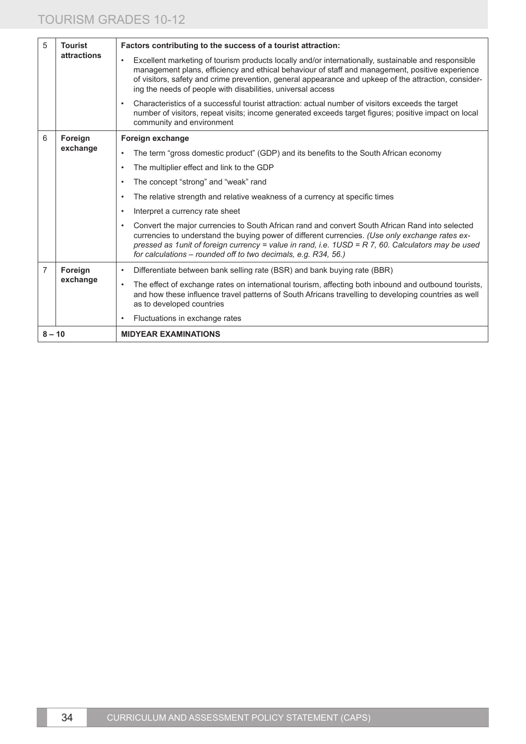| 5              | <b>Tourist</b>     | Factors contributing to the success of a tourist attraction:                                                                                                                                                                                                                                                                                                                              |  |  |  |  |
|----------------|--------------------|-------------------------------------------------------------------------------------------------------------------------------------------------------------------------------------------------------------------------------------------------------------------------------------------------------------------------------------------------------------------------------------------|--|--|--|--|
|                | <b>attractions</b> | Excellent marketing of tourism products locally and/or internationally, sustainable and responsible<br>management plans, efficiency and ethical behaviour of staff and management, positive experience<br>of visitors, safety and crime prevention, general appearance and upkeep of the attraction, consider-<br>ing the needs of people with disabilities, universal access             |  |  |  |  |
|                |                    | Characteristics of a successful tourist attraction: actual number of visitors exceeds the target<br>$\bullet$<br>number of visitors, repeat visits; income generated exceeds target figures; positive impact on local<br>community and environment                                                                                                                                        |  |  |  |  |
| 6              | Foreign            | Foreign exchange                                                                                                                                                                                                                                                                                                                                                                          |  |  |  |  |
|                | exchange           | The term "gross domestic product" (GDP) and its benefits to the South African economy<br>٠                                                                                                                                                                                                                                                                                                |  |  |  |  |
|                |                    | The multiplier effect and link to the GDP<br>$\bullet$                                                                                                                                                                                                                                                                                                                                    |  |  |  |  |
|                |                    | The concept "strong" and "weak" rand                                                                                                                                                                                                                                                                                                                                                      |  |  |  |  |
|                |                    | The relative strength and relative weakness of a currency at specific times<br>$\bullet$                                                                                                                                                                                                                                                                                                  |  |  |  |  |
|                |                    | Interpret a currency rate sheet<br>$\bullet$                                                                                                                                                                                                                                                                                                                                              |  |  |  |  |
|                |                    | Convert the major currencies to South African rand and convert South African Rand into selected<br>$\bullet$<br>currencies to understand the buying power of different currencies. (Use only exchange rates ex-<br>pressed as 1 unit of foreign currency = value in rand, i.e. 1 USD = R 7, 60. Calculators may be used<br>for calculations - rounded off to two decimals, e.g. R34, 56.) |  |  |  |  |
| $\overline{7}$ | Foreign            | Differentiate between bank selling rate (BSR) and bank buying rate (BBR)<br>$\bullet$                                                                                                                                                                                                                                                                                                     |  |  |  |  |
|                | exchange           | The effect of exchange rates on international tourism, affecting both inbound and outbound tourists,<br>$\bullet$<br>and how these influence travel patterns of South Africans travelling to developing countries as well<br>as to developed countries                                                                                                                                    |  |  |  |  |
|                |                    | Fluctuations in exchange rates                                                                                                                                                                                                                                                                                                                                                            |  |  |  |  |
| $8 - 10$       |                    | <b>MIDYEAR EXAMINATIONS</b>                                                                                                                                                                                                                                                                                                                                                               |  |  |  |  |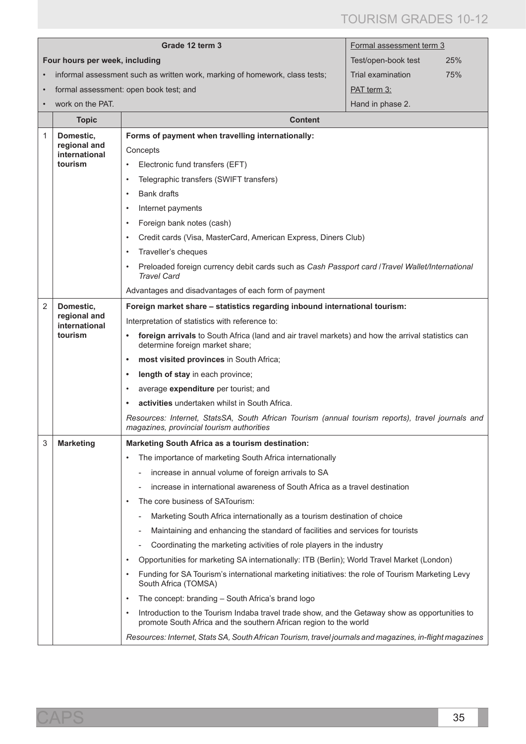**Grade 12 term 3**

### **Four hours per week, including**

- • informal assessment such as written work, marking of homework, class tests;
- • formal assessment: open book test; and
- • work on the PAT.

Formal assessment term 3 Test/open-book test 25% Trial examination 75% PAT term 3: Hand in phase 2.

|   | <b>Topic</b>                  | <b>Content</b>                                                                                                                                                           |  |  |  |
|---|-------------------------------|--------------------------------------------------------------------------------------------------------------------------------------------------------------------------|--|--|--|
| 1 | Domestic,                     | Forms of payment when travelling internationally:                                                                                                                        |  |  |  |
|   | regional and<br>international | Concepts                                                                                                                                                                 |  |  |  |
|   | tourism                       | Electronic fund transfers (EFT)<br>$\bullet$                                                                                                                             |  |  |  |
|   |                               | Telegraphic transfers (SWIFT transfers)<br>$\bullet$                                                                                                                     |  |  |  |
|   |                               | <b>Bank drafts</b>                                                                                                                                                       |  |  |  |
|   |                               | Internet payments                                                                                                                                                        |  |  |  |
|   |                               | Foreign bank notes (cash)<br>٠                                                                                                                                           |  |  |  |
|   |                               | Credit cards (Visa, MasterCard, American Express, Diners Club)                                                                                                           |  |  |  |
|   |                               | Traveller's cheques                                                                                                                                                      |  |  |  |
|   |                               | Preloaded foreign currency debit cards such as Cash Passport card / Travel Wallet/International<br><b>Travel Card</b>                                                    |  |  |  |
|   |                               | Advantages and disadvantages of each form of payment                                                                                                                     |  |  |  |
| 2 | Domestic,                     | Foreign market share – statistics regarding inbound international tourism:                                                                                               |  |  |  |
|   | regional and<br>international | Interpretation of statistics with reference to:                                                                                                                          |  |  |  |
|   | tourism                       | foreign arrivals to South Africa (land and air travel markets) and how the arrival statistics can<br>determine foreign market share;                                     |  |  |  |
|   |                               | most visited provinces in South Africa;<br>$\bullet$                                                                                                                     |  |  |  |
|   |                               | length of stay in each province;<br>٠                                                                                                                                    |  |  |  |
|   |                               | average expenditure per tourist; and                                                                                                                                     |  |  |  |
|   |                               | activities undertaken whilst in South Africa.                                                                                                                            |  |  |  |
|   |                               | Resources: Internet, StatsSA, South African Tourism (annual tourism reports), travel journals and<br>magazines, provincial tourism authorities                           |  |  |  |
| 3 | <b>Marketing</b>              | <b>Marketing South Africa as a tourism destination:</b>                                                                                                                  |  |  |  |
|   |                               | The importance of marketing South Africa internationally                                                                                                                 |  |  |  |
|   |                               | increase in annual volume of foreign arrivals to SA                                                                                                                      |  |  |  |
|   |                               | increase in international awareness of South Africa as a travel destination                                                                                              |  |  |  |
|   |                               | The core business of SATourism:                                                                                                                                          |  |  |  |
|   |                               | Marketing South Africa internationally as a tourism destination of choice                                                                                                |  |  |  |
|   |                               | Maintaining and enhancing the standard of facilities and services for tourists                                                                                           |  |  |  |
|   |                               | Coordinating the marketing activities of role players in the industry<br>$\overline{\phantom{a}}$                                                                        |  |  |  |
|   |                               | Opportunities for marketing SA internationally: ITB (Berlin); World Travel Market (London)<br>٠                                                                          |  |  |  |
|   |                               | Funding for SA Tourism's international marketing initiatives: the role of Tourism Marketing Levy<br>South Africa (TOMSA)                                                 |  |  |  |
|   |                               | The concept: branding – South Africa's brand logo<br>٠                                                                                                                   |  |  |  |
|   |                               | Introduction to the Tourism Indaba travel trade show, and the Getaway show as opportunities to<br>٠<br>promote South Africa and the southern African region to the world |  |  |  |
|   |                               | Resources: Internet, Stats SA, South African Tourism, travel journals and magazines, in-flight magazines                                                                 |  |  |  |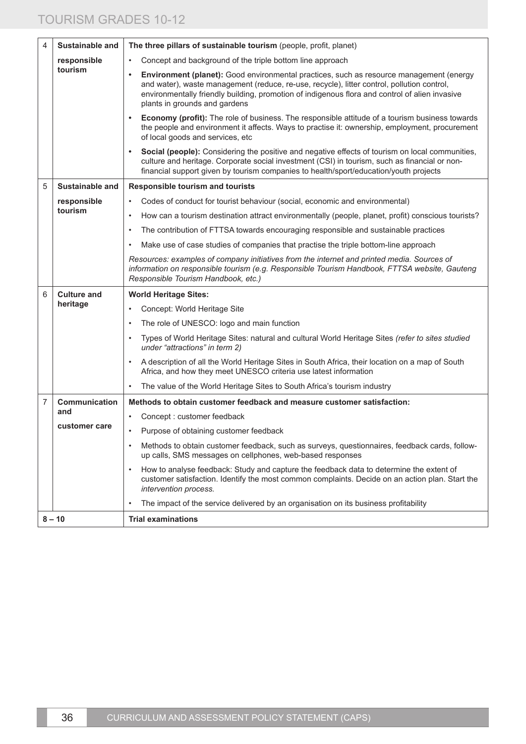| 4                                                                                                                                                                                                                                | <b>Sustainable and</b><br>The three pillars of sustainable tourism (people, profit, planet) |                                                                                                                                                                                                                                                                                                                                       |  |  |
|----------------------------------------------------------------------------------------------------------------------------------------------------------------------------------------------------------------------------------|---------------------------------------------------------------------------------------------|---------------------------------------------------------------------------------------------------------------------------------------------------------------------------------------------------------------------------------------------------------------------------------------------------------------------------------------|--|--|
|                                                                                                                                                                                                                                  | responsible                                                                                 | Concept and background of the triple bottom line approach<br>$\bullet$                                                                                                                                                                                                                                                                |  |  |
|                                                                                                                                                                                                                                  | tourism                                                                                     | Environment (planet): Good environmental practices, such as resource management (energy<br>$\bullet$<br>and water), waste management (reduce, re-use, recycle), litter control, pollution control,<br>environmentally friendly building, promotion of indigenous flora and control of alien invasive<br>plants in grounds and gardens |  |  |
|                                                                                                                                                                                                                                  |                                                                                             | <b>Economy (profit):</b> The role of business. The responsible attitude of a tourism business towards<br>$\bullet$<br>the people and environment it affects. Ways to practise it: ownership, employment, procurement<br>of local goods and services, etc                                                                              |  |  |
|                                                                                                                                                                                                                                  |                                                                                             | Social (people): Considering the positive and negative effects of tourism on local communities,<br>$\bullet$<br>culture and heritage. Corporate social investment (CSI) in tourism, such as financial or non-<br>financial support given by tourism companies to health/sport/education/youth projects                                |  |  |
| 5                                                                                                                                                                                                                                | Sustainable and                                                                             | <b>Responsible tourism and tourists</b>                                                                                                                                                                                                                                                                                               |  |  |
|                                                                                                                                                                                                                                  | responsible                                                                                 | Codes of conduct for tourist behaviour (social, economic and environmental)<br>$\bullet$                                                                                                                                                                                                                                              |  |  |
|                                                                                                                                                                                                                                  | tourism                                                                                     | How can a tourism destination attract environmentally (people, planet, profit) conscious tourists?<br>$\bullet$                                                                                                                                                                                                                       |  |  |
|                                                                                                                                                                                                                                  |                                                                                             | The contribution of FTTSA towards encouraging responsible and sustainable practices<br>$\bullet$                                                                                                                                                                                                                                      |  |  |
|                                                                                                                                                                                                                                  |                                                                                             | Make use of case studies of companies that practise the triple bottom-line approach<br>$\bullet$                                                                                                                                                                                                                                      |  |  |
|                                                                                                                                                                                                                                  |                                                                                             | Resources: examples of company initiatives from the internet and printed media. Sources of<br>information on responsible tourism (e.g. Responsible Tourism Handbook, FTTSA website, Gauteng<br>Responsible Tourism Handbook, etc.)                                                                                                    |  |  |
| 6                                                                                                                                                                                                                                | <b>Culture and</b>                                                                          | <b>World Heritage Sites:</b>                                                                                                                                                                                                                                                                                                          |  |  |
|                                                                                                                                                                                                                                  | heritage                                                                                    | Concept: World Heritage Site<br>$\bullet$                                                                                                                                                                                                                                                                                             |  |  |
|                                                                                                                                                                                                                                  |                                                                                             | The role of UNESCO: logo and main function<br>$\bullet$                                                                                                                                                                                                                                                                               |  |  |
|                                                                                                                                                                                                                                  |                                                                                             | Types of World Heritage Sites: natural and cultural World Heritage Sites (refer to sites studied<br>$\bullet$<br>under "attractions" in term 2)                                                                                                                                                                                       |  |  |
|                                                                                                                                                                                                                                  |                                                                                             | A description of all the World Heritage Sites in South Africa, their location on a map of South<br>$\bullet$<br>Africa, and how they meet UNESCO criteria use latest information                                                                                                                                                      |  |  |
|                                                                                                                                                                                                                                  |                                                                                             | The value of the World Heritage Sites to South Africa's tourism industry<br>$\bullet$                                                                                                                                                                                                                                                 |  |  |
| $\overline{7}$                                                                                                                                                                                                                   | Communication                                                                               | Methods to obtain customer feedback and measure customer satisfaction:                                                                                                                                                                                                                                                                |  |  |
|                                                                                                                                                                                                                                  | and                                                                                         | Concept : customer feedback<br>$\bullet$                                                                                                                                                                                                                                                                                              |  |  |
|                                                                                                                                                                                                                                  | customer care                                                                               | Purpose of obtaining customer feedback<br>$\bullet$                                                                                                                                                                                                                                                                                   |  |  |
|                                                                                                                                                                                                                                  |                                                                                             | Methods to obtain customer feedback, such as surveys, questionnaires, feedback cards, follow-<br>$\bullet$<br>up calls, SMS messages on cellphones, web-based responses                                                                                                                                                               |  |  |
| How to analyse feedback: Study and capture the feedback data to determine the extent of<br>$\bullet$<br>customer satisfaction. Identify the most common complaints. Decide on an action plan. Start the<br>intervention process. |                                                                                             |                                                                                                                                                                                                                                                                                                                                       |  |  |
|                                                                                                                                                                                                                                  |                                                                                             | The impact of the service delivered by an organisation on its business profitability<br>$\bullet$                                                                                                                                                                                                                                     |  |  |
|                                                                                                                                                                                                                                  | $8 - 10$                                                                                    | <b>Trial examinations</b>                                                                                                                                                                                                                                                                                                             |  |  |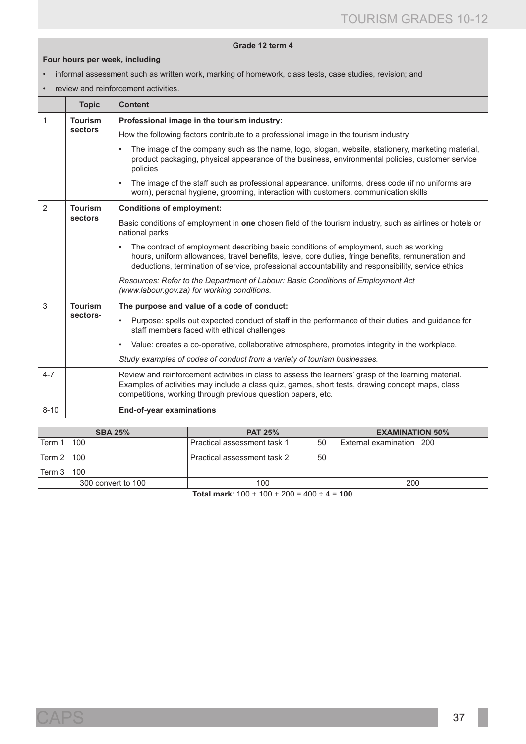#### **Four hours per week, including**

### **Grade 12 term 4**

- • informal assessment such as written work, marking of homework, class tests, case studies, revision; and
- • review and reinforcement activities.

|          | <b>Topic</b>   | <b>Content</b>                                                                                                                                                                                                                                                                                                |
|----------|----------------|---------------------------------------------------------------------------------------------------------------------------------------------------------------------------------------------------------------------------------------------------------------------------------------------------------------|
| 1        | <b>Tourism</b> | Professional image in the tourism industry:                                                                                                                                                                                                                                                                   |
|          | sectors        | How the following factors contribute to a professional image in the tourism industry                                                                                                                                                                                                                          |
|          |                | The image of the company such as the name, logo, slogan, website, stationery, marketing material,<br>$\bullet$<br>product packaging, physical appearance of the business, environmental policies, customer service<br>policies                                                                                |
|          |                | The image of the staff such as professional appearance, uniforms, dress code (if no uniforms are<br>$\bullet$<br>worn), personal hygiene, grooming, interaction with customers, communication skills                                                                                                          |
| 2        | <b>Tourism</b> | <b>Conditions of employment:</b>                                                                                                                                                                                                                                                                              |
|          | sectors        | Basic conditions of employment in one chosen field of the tourism industry, such as airlines or hotels or<br>national parks                                                                                                                                                                                   |
|          |                | The contract of employment describing basic conditions of employment, such as working<br>$\bullet$<br>hours, uniform allowances, travel benefits, leave, core duties, fringe benefits, remuneration and<br>deductions, termination of service, professional accountability and responsibility, service ethics |
|          |                | Resources: Refer to the Department of Labour: Basic Conditions of Employment Act<br>(www.labour.gov.za) for working conditions.                                                                                                                                                                               |
| 3        | <b>Tourism</b> | The purpose and value of a code of conduct:                                                                                                                                                                                                                                                                   |
|          | sectors-       | Purpose: spells out expected conduct of staff in the performance of their duties, and guidance for<br>$\bullet$<br>staff members faced with ethical challenges                                                                                                                                                |
|          |                | Value: creates a co-operative, collaborative atmosphere, promotes integrity in the workplace.<br>$\bullet$                                                                                                                                                                                                    |
|          |                | Study examples of codes of conduct from a variety of tourism businesses.                                                                                                                                                                                                                                      |
| $4 - 7$  |                | Review and reinforcement activities in class to assess the learners' grasp of the learning material.<br>Examples of activities may include a class quiz, games, short tests, drawing concept maps, class<br>competitions, working through previous question papers, etc.                                      |
| $8 - 10$ |                | <b>End-of-year examinations</b>                                                                                                                                                                                                                                                                               |
|          |                |                                                                                                                                                                                                                                                                                                               |

|                                                         | <b>SBA 25%</b>     | <b>PAT 25%</b>                    | <b>EXAMINATION 50%</b>   |  |  |
|---------------------------------------------------------|--------------------|-----------------------------------|--------------------------|--|--|
| Term 1 100                                              |                    | Practical assessment task 1<br>50 | External examination 200 |  |  |
| Term 2 100                                              |                    | 50<br>Practical assessment task 2 |                          |  |  |
| Term 3                                                  | 100                |                                   |                          |  |  |
|                                                         | 300 convert to 100 | 100                               | 200                      |  |  |
| <b>Total mark:</b> $100 + 100 + 200 = 400 \div 4 = 100$ |                    |                                   |                          |  |  |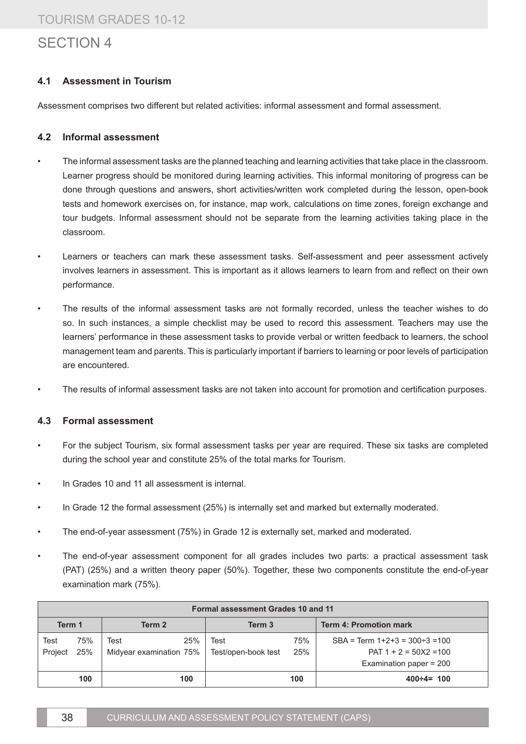# SECTION 4

### **4.1 Assessment in Tourism**

Assessment comprises two different but related activities: informal assessment and formal assessment.

### **4.2 Informal assessment**

- The informal assessment tasks are the planned teaching and learning activities that take place in the classroom. Learner progress should be monitored during learning activities. This informal monitoring of progress can be done through questions and answers, short activities/written work completed during the lesson, open-book tests and homework exercises on, for instance, map work, calculations on time zones, foreign exchange and tour budgets. Informal assessment should not be separate from the learning activities taking place in the classroom.
- Learners or teachers can mark these assessment tasks. Self-assessment and peer assessment actively involves learners in assessment. This is important as it allows learners to learn from and reflect on their own performance.
- The results of the informal assessment tasks are not formally recorded, unless the teacher wishes to do so. In such instances, a simple checklist may be used to record this assessment. Teachers may use the learners' performance in these assessment tasks to provide verbal or written feedback to learners, the school management team and parents. This is particularly important if barriers to learning or poor levels of participation are encountered.
- The results of informal assessment tasks are not taken into account for promotion and certification purposes.

### **4.3 Formal assessment**

- For the subject Tourism, six formal assessment tasks per year are required. These six tasks are completed during the school year and constitute 25% of the total marks for Tourism.
- In Grades 10 and 11 all assessment is internal.
- In Grade 12 the formal assessment (25%) is internally set and marked but externally moderated.
- The end-of-year assessment (75%) in Grade 12 is externally set, marked and moderated.
- The end-of-year assessment component for all grades includes two parts: a practical assessment task (PAT) (25%) and a written theory paper (50%). Together, these two components constitute the end-of-year examination mark (75%).

| <b>Formal assessment Grades 10 and 11</b> |     |                         |     |                     |     |                                       |
|-------------------------------------------|-----|-------------------------|-----|---------------------|-----|---------------------------------------|
| Term 1                                    |     | Term 2                  |     | Term 3              |     | <b>Term 4: Promotion mark</b>         |
| Test                                      | 75% | Test                    | 25% | Test                | 75% | $SBA = Term 1+2+3 = 300 \div 3 = 100$ |
| Project                                   | 25% | Midyear examination 75% |     | Test/open-book test | 25% | $PAT 1 + 2 = 50X2 = 100$              |
|                                           |     |                         |     |                     |     | Examination paper = 200               |
|                                           | 100 |                         | 100 |                     | 100 | $400 \div 4 = 100$                    |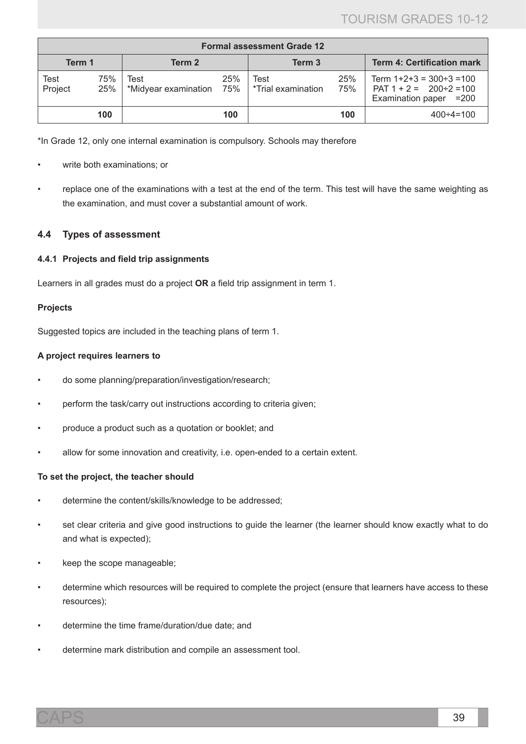| <b>Formal assessment Grade 12</b> |            |                              |            |                            |            |                                                                                              |  |  |  |  |
|-----------------------------------|------------|------------------------------|------------|----------------------------|------------|----------------------------------------------------------------------------------------------|--|--|--|--|
| Term 1                            |            | Term 2                       |            | Term 3                     |            | <b>Term 4: Certification mark</b>                                                            |  |  |  |  |
| Test<br>Project                   | 75%<br>25% | Test<br>*Midyear examination | 25%<br>75% | Test<br>*Trial examination | 25%<br>75% | Term $1+2+3 = 300 \div 3 = 100$<br>$PAT 1 + 2 = 200 \div 2 = 100$<br>Examination paper = 200 |  |  |  |  |
|                                   | 100        |                              | 100        |                            | 100        | $400 \div 4 = 100$                                                                           |  |  |  |  |

\*In Grade 12, only one internal examination is compulsory. Schools may therefore

- write both examinations; or
- replace one of the examinations with a test at the end of the term. This test will have the same weighting as the examination, and must cover a substantial amount of work.

### **4.4 Types of assessment**

### **4.4.1 Projects and field trip assignments**

Learners in all grades must do a project **OR** a field trip assignment in term 1.

#### **Projects**

Suggested topics are included in the teaching plans of term 1.

#### **A project requires learners to**

- do some planning/preparation/investigation/research;
- perform the task/carry out instructions according to criteria given;
- produce a product such as a quotation or booklet; and
- allow for some innovation and creativity, i.e. open-ended to a certain extent.

#### **To set the project, the teacher should**

- determine the content/skills/knowledge to be addressed:
- set clear criteria and give good instructions to guide the learner (the learner should know exactly what to do and what is expected);
- keep the scope manageable;
- determine which resources will be required to complete the project (ensure that learners have access to these resources);
- determine the time frame/duration/due date; and
- determine mark distribution and compile an assessment tool.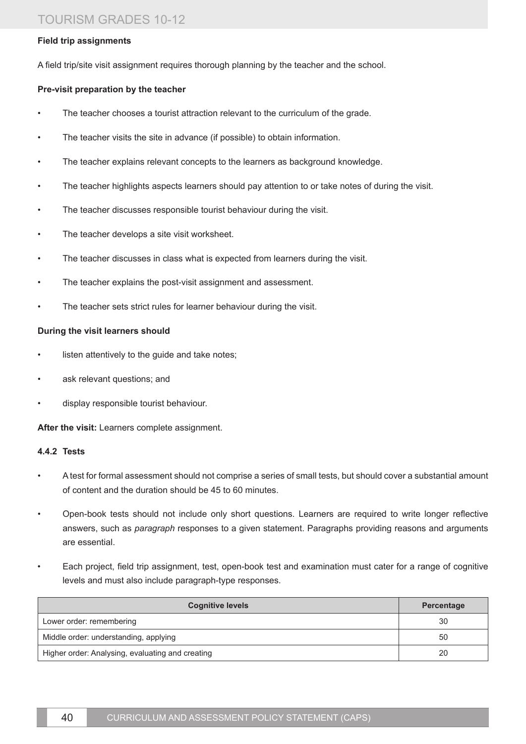### **Field trip assignments**

A field trip/site visit assignment requires thorough planning by the teacher and the school.

### **Pre-visit preparation by the teacher**

- The teacher chooses a tourist attraction relevant to the curriculum of the grade.
- The teacher visits the site in advance (if possible) to obtain information.
- The teacher explains relevant concepts to the learners as background knowledge.
- The teacher highlights aspects learners should pay attention to or take notes of during the visit.
- The teacher discusses responsible tourist behaviour during the visit.
- The teacher develops a site visit worksheet.
- The teacher discusses in class what is expected from learners during the visit.
- The teacher explains the post-visit assignment and assessment.
- The teacher sets strict rules for learner behaviour during the visit.

#### **During the visit learners should**

- listen attentively to the guide and take notes;
- ask relevant questions; and
- display responsible tourist behaviour.

**After the visit:** Learners complete assignment.

#### **4.4.2 Tests**

- A test for formal assessment should not comprise a series of small tests, but should cover a substantial amount of content and the duration should be 45 to 60 minutes.
- Open-book tests should not include only short questions. Learners are required to write longer reflective answers, such as *paragraph* responses to a given statement. Paragraphs providing reasons and arguments are essential.
- Each project, field trip assignment, test, open-book test and examination must cater for a range of cognitive levels and must also include paragraph-type responses.

| <b>Cognitive levels</b>                          | Percentage |  |
|--------------------------------------------------|------------|--|
| Lower order: remembering                         | 30         |  |
| Middle order: understanding, applying            | 50         |  |
| Higher order: Analysing, evaluating and creating | 20         |  |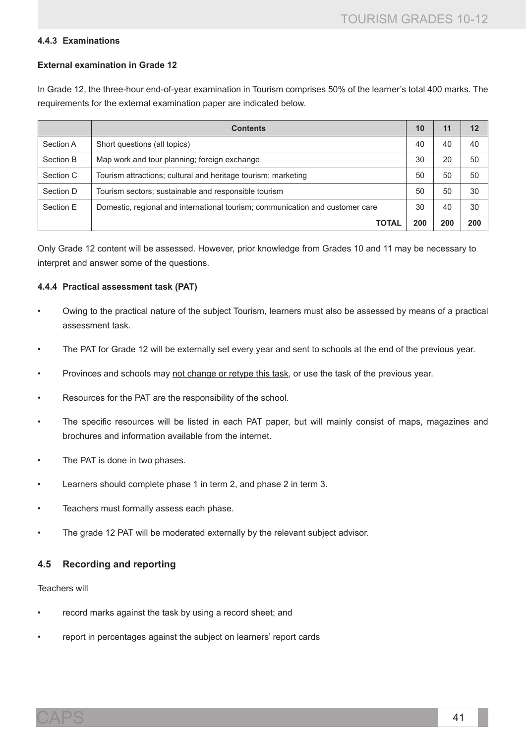### **4.4.3 Examinations**

#### **External examination in Grade 12**

In Grade 12, the three-hour end-of-year examination in Tourism comprises 50% of the learner's total 400 marks. The requirements for the external examination paper are indicated below.

|           | <b>Contents</b>                                                               | 10  | 11  | 12  |
|-----------|-------------------------------------------------------------------------------|-----|-----|-----|
| Section A | Short questions (all topics)                                                  | 40  | 40  | 40  |
| Section B | Map work and tour planning; foreign exchange                                  | 30  | 20  | 50  |
| Section C | Tourism attractions; cultural and heritage tourism; marketing                 | 50  | 50  | 50  |
| Section D | Tourism sectors; sustainable and responsible tourism                          |     | 50  | 30  |
| Section E | Domestic, regional and international tourism; communication and customer care |     | 40  | 30  |
|           | <b>TOTAL</b>                                                                  | 200 | 200 | 200 |

Only Grade 12 content will be assessed. However, prior knowledge from Grades 10 and 11 may be necessary to interpret and answer some of the questions.

#### **4.4.4 Practical assessment task (PAT)**

- Owing to the practical nature of the subject Tourism, learners must also be assessed by means of a practical assessment task.
- The PAT for Grade 12 will be externally set every year and sent to schools at the end of the previous year.
- Provinces and schools may not change or retype this task, or use the task of the previous year.
- Resources for the PAT are the responsibility of the school.
- The specific resources will be listed in each PAT paper, but will mainly consist of maps, magazines and brochures and information available from the internet.
- The PAT is done in two phases.
- Learners should complete phase 1 in term 2, and phase 2 in term 3.
- Teachers must formally assess each phase.
- The grade 12 PAT will be moderated externally by the relevant subject advisor.

#### **4.5 Recording and reporting**

#### Teachers will

- record marks against the task by using a record sheet; and
- report in percentages against the subject on learners' report cards

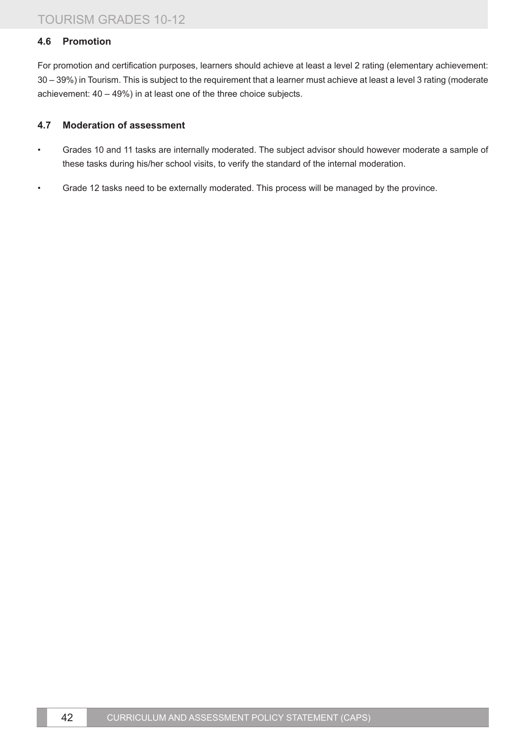### **4.6 Promotion**

For promotion and certification purposes, learners should achieve at least a level 2 rating (elementary achievement: 30 – 39%) in Tourism. This is subject to the requirement that a learner must achieve at least a level 3 rating (moderate achievement: 40 – 49%) in at least one of the three choice subjects.

### **4.7 Moderation of assessment**

- Grades 10 and 11 tasks are internally moderated. The subject advisor should however moderate a sample of these tasks during his/her school visits, to verify the standard of the internal moderation.
- Grade 12 tasks need to be externally moderated. This process will be managed by the province.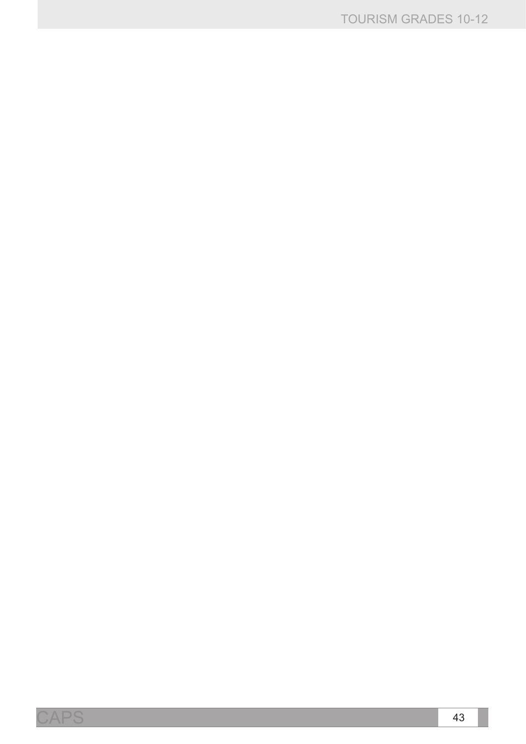